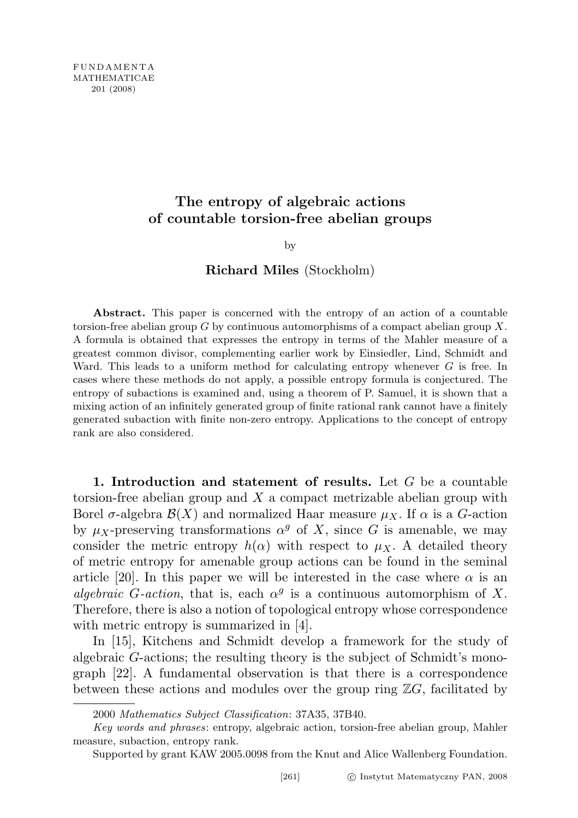# The entropy of algebraic actions of countable torsion-free abelian groups

by

## Richard Miles (Stockholm)

Abstract. This paper is concerned with the entropy of an action of a countable torsion-free abelian group  $G$  by continuous automorphisms of a compact abelian group  $X$ . A formula is obtained that expresses the entropy in terms of the Mahler measure of a greatest common divisor, complementing earlier work by Einsiedler, Lind, Schmidt and Ward. This leads to a uniform method for calculating entropy whenever  $G$  is free. In cases where these methods do not apply, a possible entropy formula is conjectured. The entropy of subactions is examined and, using a theorem of P. Samuel, it is shown that a mixing action of an infinitely generated group of finite rational rank cannot have a finitely generated subaction with finite non-zero entropy. Applications to the concept of entropy rank are also considered.

1. Introduction and statement of results. Let  $G$  be a countable torsion-free abelian group and  $X$  a compact metrizable abelian group with Borel  $\sigma$ -algebra  $\mathcal{B}(X)$  and normalized Haar measure  $\mu_X$ . If  $\alpha$  is a G-action by  $\mu_X$ -preserving transformations  $\alpha^g$  of X, since G is amenable, we may consider the metric entropy  $h(\alpha)$  with respect to  $\mu_X$ . A detailed theory of metric entropy for amenable group actions can be found in the seminal article [20]. In this paper we will be interested in the case where  $\alpha$  is an algebraic G-action, that is, each  $\alpha^g$  is a continuous automorphism of X. Therefore, there is also a notion of topological entropy whose correspondence with metric entropy is summarized in [4].

In [15], Kitchens and Schmidt develop a framework for the study of algebraic G-actions; the resulting theory is the subject of Schmidt's monograph [22]. A fundamental observation is that there is a correspondence between these actions and modules over the group ring  $\mathbb{Z}G$ , facilitated by

<sup>2000</sup> Mathematics Subject Classification: 37A35, 37B40.

Key words and phrases: entropy, algebraic action, torsion-free abelian group, Mahler measure, subaction, entropy rank.

Supported by grant KAW 2005.0098 from the Knut and Alice Wallenberg Foundation.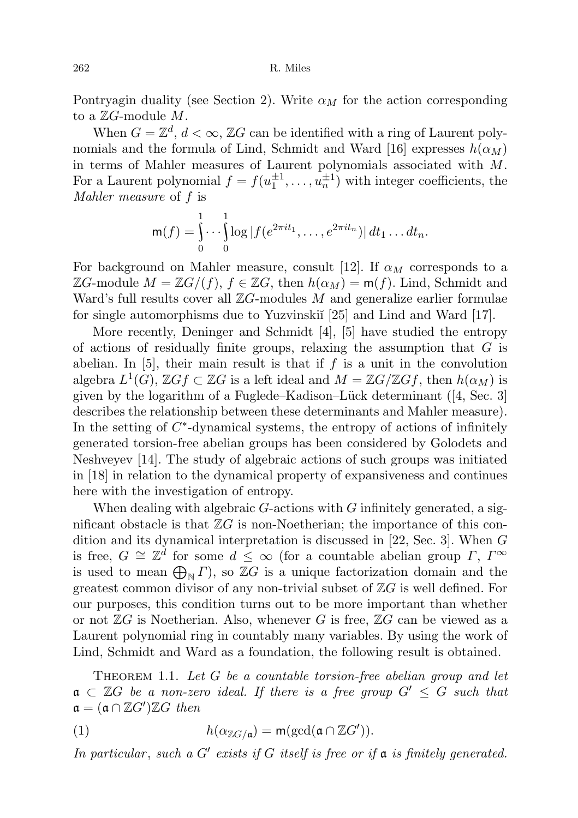Pontryagin duality (see Section 2). Write  $\alpha_M$  for the action corresponding to a  $\mathbb{Z}G$ -module  $M$ .

When  $G = \mathbb{Z}^d$ ,  $d < \infty$ ,  $\mathbb{Z}G$  can be identified with a ring of Laurent polynomials and the formula of Lind, Schmidt and Ward [16] expresses  $h(\alpha_M)$ in terms of Mahler measures of Laurent polynomials associated with  $M$ . For a Laurent polynomial  $f = f(u_1^{\pm 1}, \ldots, u_n^{\pm 1})$  with integer coefficients, the Mahler measure of f is

$$
\mathsf{m}(f) = \int_0^1 \cdots \int_0^1 \log |f(e^{2\pi i t_1}, \ldots, e^{2\pi i t_n})| dt_1 \ldots dt_n.
$$

For background on Mahler measure, consult [12]. If  $\alpha_M$  corresponds to a ZG-module  $M = \mathbb{Z}G/(f)$ ,  $f \in \mathbb{Z}G$ , then  $h(\alpha_M) = \mathsf{m}(f)$ . Lind, Schmidt and Ward's full results cover all  $\mathbb{Z}G$ -modules M and generalize earlier formulae for single automorphisms due to Yuzvinski<sup> $\lceil 25 \rceil$ </sup> and Lind and Ward  $\lceil 17 \rceil$ .

More recently, Deninger and Schmidt [4], [5] have studied the entropy of actions of residually finite groups, relaxing the assumption that  $G$  is abelian. In  $[5]$ , their main result is that if f is a unit in the convolution algebra  $L^1(G)$ ,  $\mathbb{Z} G f \subset \mathbb{Z} G$  is a left ideal and  $M = \mathbb{Z} G / \mathbb{Z} G f$ , then  $h(\alpha_M)$  is given by the logarithm of a Fuglede–Kadison–Lück determinant  $(4, Sec. 3]$ describes the relationship between these determinants and Mahler measure). In the setting of  $C^*$ -dynamical systems, the entropy of actions of infinitely generated torsion-free abelian groups has been considered by Golodets and Neshveyev [14]. The study of algebraic actions of such groups was initiated in [18] in relation to the dynamical property of expansiveness and continues here with the investigation of entropy.

When dealing with algebraic  $G$ -actions with  $G$  infinitely generated, a significant obstacle is that  $\mathbb{Z}G$  is non-Noetherian; the importance of this condition and its dynamical interpretation is discussed in [22, Sec. 3]. When G is free,  $G \cong \mathbb{Z}^d$  for some  $d \leq \infty$  (for a countable abelian group  $\Gamma$ ,  $\Gamma^{\infty}$ is used to mean  $\bigoplus_{\mathbb{N}} \Gamma$ , so  $\mathbb{Z}G$  is a unique factorization domain and the greatest common divisor of any non-trivial subset of  $\mathbb{Z}G$  is well defined. For our purposes, this condition turns out to be more important than whether or not  $\mathbb{Z}G$  is Noetherian. Also, whenever G is free,  $\mathbb{Z}G$  can be viewed as a Laurent polynomial ring in countably many variables. By using the work of Lind, Schmidt and Ward as a foundation, the following result is obtained.

THEOREM 1.1. Let  $G$  be a countable torsion-free abelian group and let  $a \subset \mathbb{Z}$  be a non-zero ideal. If there is a free group  $G' \leq G$  such that  $\mathfrak{a} = (\mathfrak{a} \cap \mathbb{Z}G')\mathbb{Z}G$  then

(1) 
$$
h(\alpha_{\mathbb{Z}G/\mathfrak{a}}) = \mathsf{m}(\gcd(\mathfrak{a} \cap \mathbb{Z}G')).
$$

In particular, such a  $G'$  exists if  $G$  itself is free or if  $\mathfrak a$  is finitely generated.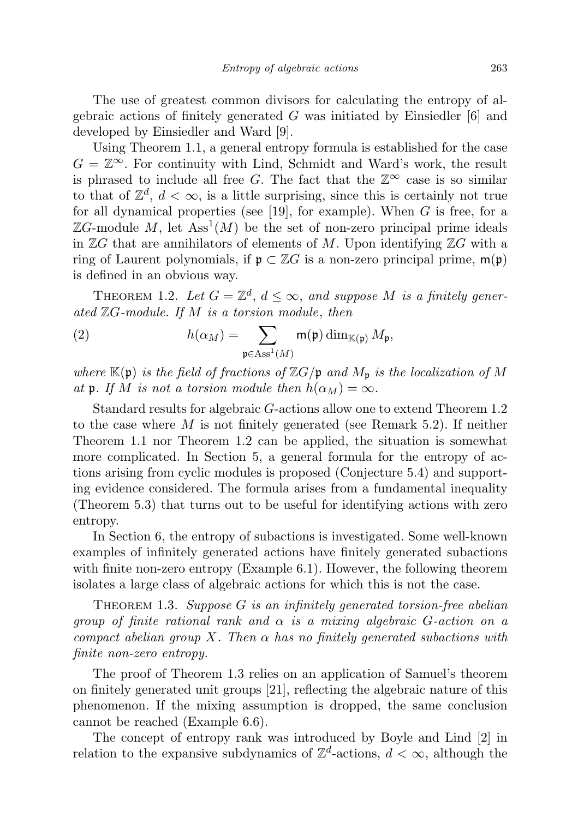The use of greatest common divisors for calculating the entropy of algebraic actions of finitely generated  $G$  was initiated by Einsiedler [6] and developed by Einsiedler and Ward [9].

Using Theorem 1.1, a general entropy formula is established for the case  $G = \mathbb{Z}^{\infty}$ . For continuity with Lind, Schmidt and Ward's work, the result is phrased to include all free G. The fact that the  $\mathbb{Z}^{\infty}$  case is so similar to that of  $\mathbb{Z}^d$ ,  $d < \infty$ , is a little surprising, since this is certainly not true for all dynamical properties (see [19], for example). When  $G$  is free, for a  $\mathbb{Z}G$ -module M, let  $\mathrm{Ass}^1(M)$  be the set of non-zero principal prime ideals in  $\mathbb{Z}G$  that are annihilators of elements of M. Upon identifying  $\mathbb{Z}G$  with a ring of Laurent polynomials, if  $\mathfrak{p} \subset \mathbb{Z}G$  is a non-zero principal prime,  $m(\mathfrak{p})$ is defined in an obvious way.

THEOREM 1.2. Let  $G = \mathbb{Z}^d$ ,  $d \leq \infty$ , and suppose M is a finitely generated  $\mathbb{Z}G$ -module. If  $M$  is a torsion module, then

(2) 
$$
h(\alpha_M) = \sum_{\mathfrak{p} \in \text{Ass}^1(M)} \mathfrak{m}(\mathfrak{p}) \dim_{\mathbb{K}(\mathfrak{p})} M_{\mathfrak{p}},
$$

where  $\mathbb{K}(\mathfrak{p})$  is the field of fractions of  $\mathbb{Z}G/\mathfrak{p}$  and  $M_{\mathfrak{p}}$  is the localization of M at **p**. If M is not a torsion module then  $h(\alpha_M) = \infty$ .

Standard results for algebraic G-actions allow one to extend Theorem 1.2 to the case where  $M$  is not finitely generated (see Remark 5.2). If neither Theorem 1.1 nor Theorem 1.2 can be applied, the situation is somewhat more complicated. In Section 5, a general formula for the entropy of actions arising from cyclic modules is proposed (Conjecture 5.4) and supporting evidence considered. The formula arises from a fundamental inequality (Theorem 5.3) that turns out to be useful for identifying actions with zero entropy.

In Section 6, the entropy of subactions is investigated. Some well-known examples of infinitely generated actions have finitely generated subactions with finite non-zero entropy (Example 6.1). However, the following theorem isolates a large class of algebraic actions for which this is not the case.

THEOREM 1.3. Suppose  $G$  is an infinitely generated torsion-free abelian group of finite rational rank and  $\alpha$  is a mixing algebraic G-action on a compact abelian group X. Then  $\alpha$  has no finitely generated subactions with finite non-zero entropy.

The proof of Theorem 1.3 relies on an application of Samuel's theorem on finitely generated unit groups [21], reflecting the algebraic nature of this phenomenon. If the mixing assumption is dropped, the same conclusion cannot be reached (Example 6.6).

The concept of entropy rank was introduced by Boyle and Lind [2] in relation to the expansive subdynamics of  $\mathbb{Z}^d$ -actions,  $d < \infty$ , although the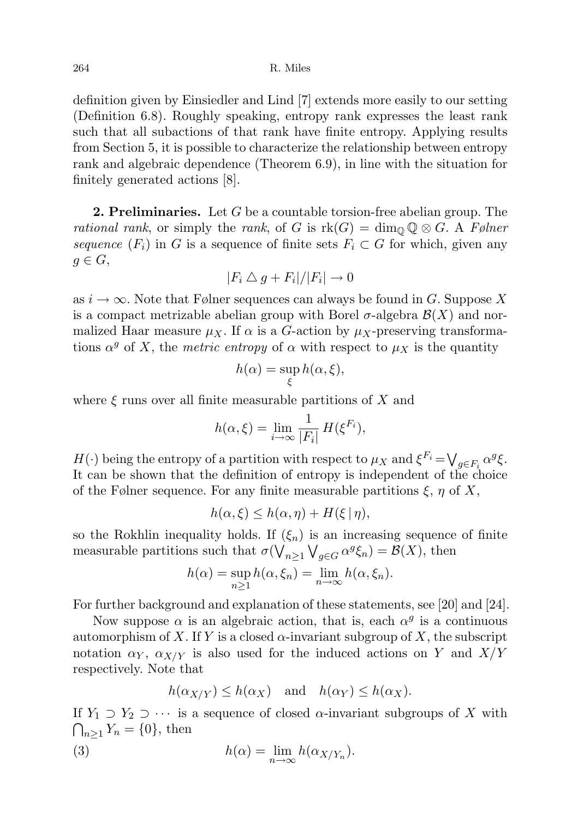definition given by Einsiedler and Lind [7] extends more easily to our setting (Definition 6.8). Roughly speaking, entropy rank expresses the least rank such that all subactions of that rank have finite entropy. Applying results from Section 5, it is possible to characterize the relationship between entropy rank and algebraic dependence (Theorem 6.9), in line with the situation for finitely generated actions [8].

**2. Preliminaries.** Let  $G$  be a countable torsion-free abelian group. The rational rank, or simply the rank, of G is  $\text{rk}(G) = \dim_{\mathbb{Q}} \mathbb{Q} \otimes G$ . A Følner sequence  $(F_i)$  in G is a sequence of finite sets  $F_i \subset G$  for which, given any  $g \in G$ ,

$$
|F_i \bigtriangleup g + F_i|/|F_i| \to 0
$$

as  $i \to \infty$ . Note that Følner sequences can always be found in G. Suppose X is a compact metrizable abelian group with Borel  $\sigma$ -algebra  $\mathcal{B}(X)$  and normalized Haar measure  $\mu_X$ . If  $\alpha$  is a G-action by  $\mu_X$ -preserving transformations  $\alpha^g$  of X, the *metric entropy* of  $\alpha$  with respect to  $\mu_X$  is the quantity

$$
h(\alpha) = \sup_{\xi} h(\alpha, \xi),
$$

where  $\xi$  runs over all finite measurable partitions of X and

$$
h(\alpha,\xi) = \lim_{i \to \infty} \frac{1}{|F_i|} H(\xi^{F_i}),
$$

 $H(\cdot)$  being the entropy of a partition with respect to  $\mu_X$  and  $\xi^{F_i} = \bigvee_{g \in F_i} \alpha^g \xi$ . It can be shown that the definition of entropy is independent of the choice of the Følner sequence. For any finite measurable partitions  $\xi$ ,  $\eta$  of X,

$$
h(\alpha,\xi) \le h(\alpha,\eta) + H(\xi \mid \eta),
$$

so the Rokhlin inequality holds. If  $(\xi_n)$  is an increasing sequence of finite measurable partitions such that  $\sigma(\bigvee_{n\geq 1}\bigvee_{g\in G}\alpha^g\xi_n)=\mathcal{B}(X)$ , then

$$
h(\alpha) = \sup_{n \ge 1} h(\alpha, \xi_n) = \lim_{n \to \infty} h(\alpha, \xi_n).
$$

For further background and explanation of these statements, see [20] and [24].

Now suppose  $\alpha$  is an algebraic action, that is, each  $\alpha^g$  is a continuous automorphism of X. If Y is a closed  $\alpha$ -invariant subgroup of X, the subscript notation  $\alpha_Y$ ,  $\alpha_{X/Y}$  is also used for the induced actions on Y and  $X/Y$ respectively. Note that

$$
h(\alpha_{X/Y}) \le h(\alpha_X)
$$
 and  $h(\alpha_Y) \le h(\alpha_X)$ .

If  $Y_1 \supset Y_2 \supset \cdots$  is a sequence of closed  $\alpha$ -invariant subgroups of X with  $\bigcap_{n\geq 1} Y_n = \{0\},\$  then

(3) 
$$
h(\alpha) = \lim_{n \to \infty} h(\alpha_{X/Y_n}).
$$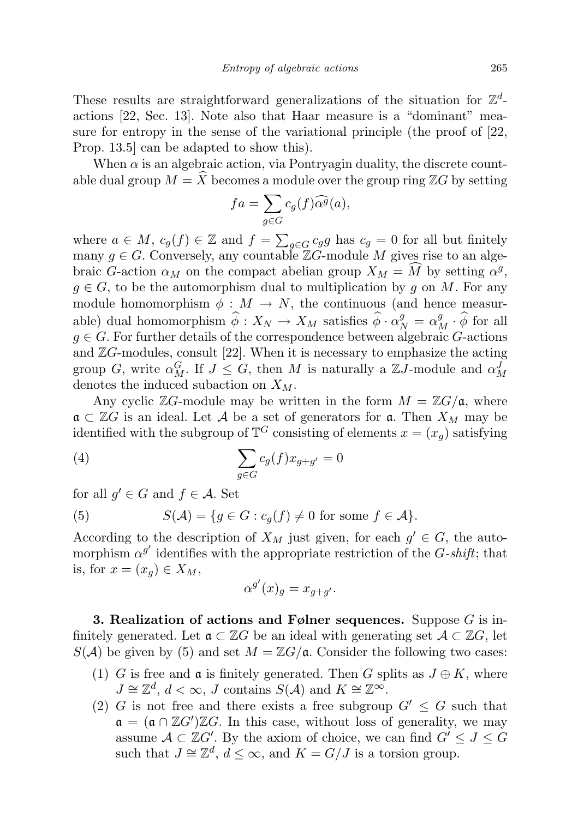These results are straightforward generalizations of the situation for  $\mathbb{Z}^d$ actions [22, Sec. 13]. Note also that Haar measure is a "dominant" measure for entropy in the sense of the variational principle (the proof of [22, Prop. 13.5] can be adapted to show this).

When  $\alpha$  is an algebraic action, via Pontryagin duality, the discrete countable dual group  $M = \widehat{X}$  becomes a module over the group ring  $\mathbb{Z}G$  by setting

$$
fa = \sum_{g \in G} c_g(f) \widehat{\alpha^g}(a),
$$

where  $a \in M$ ,  $c_g(f) \in \mathbb{Z}$  and  $f = \sum_{g \in G} c_g g$  has  $c_g = 0$  for all but finitely many  $g \in G$ . Conversely, any countable  $\mathbb{Z}G$ -module M gives rise to an algebraic G-action  $\alpha_M$  on the compact abelian group  $X_M = \tilde{M}$  by setting  $\alpha^g$ ,  $g \in G$ , to be the automorphism dual to multiplication by g on M. For any module homomorphism  $\phi : M \to N$ , the continuous (and hence measurable) dual homomorphism  $\hat{\phi} : X_N \to X_M$  satisfies  $\hat{\phi} \cdot \alpha_N^g = \alpha_M^g \cdot \hat{\phi}$  for all  $g \in G$ . For further details of the correspondence between algebraic G-actions and  $\mathbb{Z}G$ -modules, consult [22]. When it is necessary to emphasize the acting group G, write  $\alpha_M^G$ . If  $J \leq G$ , then M is naturally a  $\mathbb{Z}J$ -module and  $\alpha_M^J$ denotes the induced subaction on  $X_M$ .

Any cyclic  $\mathbb{Z}G$ -module may be written in the form  $M = \mathbb{Z}G/\mathfrak{a}$ , where  $\mathfrak{a} \subset \mathbb{Z}G$  is an ideal. Let A be a set of generators for  $\mathfrak{a}$ . Then  $X_M$  may be identified with the subgroup of  $\mathbb{T}^G$  consisting of elements  $x = (x_g)$  satisfying

(4) 
$$
\sum_{g \in G} c_g(f) x_{g+g'} = 0
$$

for all  $g' \in G$  and  $f \in \mathcal{A}$ . Set

(5) 
$$
S(\mathcal{A}) = \{ g \in G : c_g(f) \neq 0 \text{ for some } f \in \mathcal{A} \}.
$$

According to the description of  $X_M$  just given, for each  $g' \in G$ , the automorphism  $\alpha^{g'}$  identifies with the appropriate restriction of the G-shift; that is, for  $x = (x_q) \in X_M$ ,

$$
\alpha^{g'}(x)_g = x_{g+g'}.
$$

**3. Realization of actions and Følner sequences.** Suppose  $G$  is infinitely generated. Let  $\mathfrak{a} \subset \mathbb{Z}G$  be an ideal with generating set  $\mathcal{A} \subset \mathbb{Z}G$ , let  $S(\mathcal{A})$  be given by (5) and set  $M = \mathbb{Z}G/\mathfrak{a}$ . Consider the following two cases:

- (1) G is free and  $\mathfrak a$  is finitely generated. Then G splits as  $J \oplus K$ , where  $J \cong \mathbb{Z}^d$ ,  $d < \infty$ , J contains  $S(\mathcal{A})$  and  $K \cong \mathbb{Z}^\infty$ .
- (2) G is not free and there exists a free subgroup  $G' \leq G$  such that  $\mathfrak{a} = (\mathfrak{a} \cap \mathbb{Z}G')\mathbb{Z}G$ . In this case, without loss of generality, we may assume  $A \subset \mathbb{Z}G'$ . By the axiom of choice, we can find  $G' \leq J \leq G$ such that  $J \cong \mathbb{Z}^d$ ,  $d \leq \infty$ , and  $K = G/J$  is a torsion group.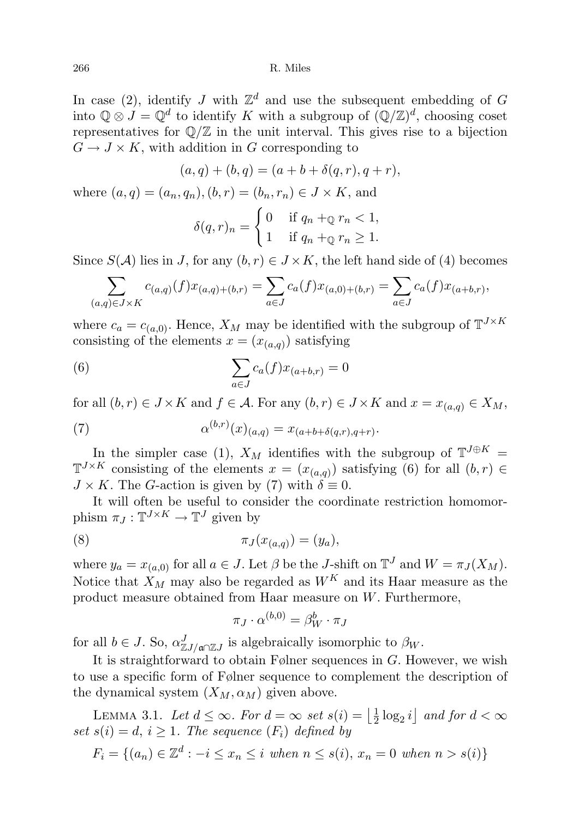In case (2), identify J with  $\mathbb{Z}^d$  and use the subsequent embedding of G into  $\mathbb{Q} \otimes J = \mathbb{Q}^d$  to identify K with a subgroup of  $(\mathbb{Q}/\mathbb{Z})^d$ , choosing coset representatives for  $\mathbb{Q}/\mathbb{Z}$  in the unit interval. This gives rise to a bijection  $G \to J \times K$ , with addition in G corresponding to

$$
(a,q) + (b,q) = (a+b+\delta(q,r), q+r),
$$
  
where  $(a,q) = (a_n, q_n), (b,r) = (b_n, r_n) \in J \times K$ , and  

$$
\delta(q,r)_n = \begin{cases} 0 & \text{if } q_n + \mathbb{Q} \ r_n < 1, \\ 1 & \text{if } q_n + \mathbb{Q} \ r_n \ge 1. \end{cases}
$$

Since  $S(\mathcal{A})$  lies in J, for any  $(b, r) \in J \times K$ , the left hand side of (4) becomes

$$
\sum_{(a,q)\in J\times K} c_{(a,q)}(f)x_{(a,q)+(b,r)} = \sum_{a\in J} c_a(f)x_{(a,0)+(b,r)} = \sum_{a\in J} c_a(f)x_{(a+b,r)},
$$

where  $c_a = c_{(a,0)}$ . Hence,  $X_M$  may be identified with the subgroup of  $\mathbb{T}^{J \times K}$ consisting of the elements  $x = (x_{(a,q)})$  satisfying

(6) 
$$
\sum_{a \in J} c_a(f) x_{(a+b,r)} = 0
$$

for all  $(b, r) \in J \times K$  and  $f \in \mathcal{A}$ . For any  $(b, r) \in J \times K$  and  $x = x_{(a,q)} \in X_M$ ,

(7) 
$$
\alpha^{(b,r)}(x)_{(a,q)} = x_{(a+b+\delta(q,r),q+r)}.
$$

In the simpler case (1),  $X_M$  identifies with the subgroup of  $\mathbb{T}^{J \oplus K}$  =  $\mathbb{T}^{J \times K}$  consisting of the elements  $x = (x_{(a,q)})$  satisfying (6) for all  $(b,r) \in$  $J \times K$ . The G-action is given by (7) with  $\delta \equiv 0$ .

It will often be useful to consider the coordinate restriction homomorphism  $\pi_J : \mathbb{T}^{J \times K} \to \mathbb{T}^J$  given by

(8) 
$$
\pi_J(x_{(a,q)}) = (y_a),
$$

where  $y_a = x_{(a,0)}$  for all  $a \in J$ . Let  $\beta$  be the J-shift on  $\mathbb{T}^J$  and  $W = \pi_J(X_M)$ . Notice that  $X_M$  may also be regarded as  $W^K$  and its Haar measure as the product measure obtained from Haar measure on W. Furthermore,

$$
\pi_J \cdot \alpha^{(b,0)} = \beta_W^b \cdot \pi_J
$$

for all  $b \in J$ . So,  $\alpha_{\mathbb{Z}J/\mathfrak{a}\cap \mathbb{Z}J}^J$  is algebraically isomorphic to  $\beta_W$ .

It is straightforward to obtain Følner sequences in  $G$ . However, we wish to use a specific form of Følner sequence to complement the description of the dynamical system  $(X_M, \alpha_M)$  given above.

LEMMA 3.1. Let  $d \leq \infty$ . For  $d = \infty$  set  $s(i) = \left| \frac{1}{2} \right|$  $\frac{1}{2} \log_2 i$  and for  $d < \infty$ set  $s(i) = d, i \geq 1$ . The sequence  $(F_i)$  defined by

$$
F_i = \{(a_n) \in \mathbb{Z}^d : -i \le x_n \le i \text{ when } n \le s(i), x_n = 0 \text{ when } n > s(i)\}
$$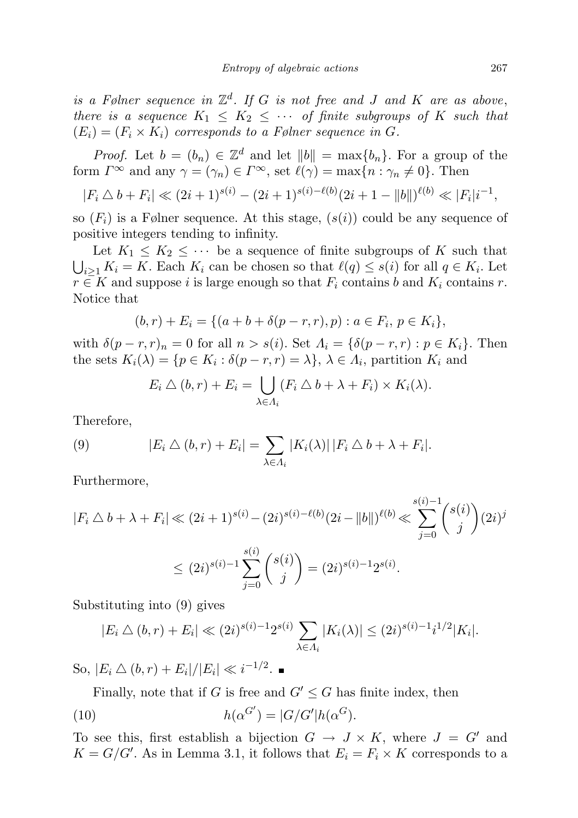is a Følner sequence in  $\mathbb{Z}^d$ . If G is not free and J and K are as above, there is a sequence  $K_1 \leq K_2 \leq \cdots$  of finite subgroups of K such that  $(E_i) = (F_i \times K_i)$  corresponds to a Følner sequence in G.

*Proof.* Let  $b = (b_n) \in \mathbb{Z}^d$  and let  $||b|| = \max\{b_n\}$ . For a group of the form  $\Gamma^{\infty}$  and any  $\gamma = (\gamma_n) \in \Gamma^{\infty}$ , set  $\ell(\gamma) = \max\{n : \gamma_n \neq 0\}$ . Then

$$
|F_i \bigtriangleup b + F_i| \ll (2i+1)^{s(i)} - (2i+1)^{s(i)-\ell(b)}(2i+1-||b||)^{\ell(b)} \ll |F_i|i^{-1},
$$

so  $(F_i)$  is a Følner sequence. At this stage,  $(s(i))$  could be any sequence of positive integers tending to infinity.

Let  $K_1 \leq K_2 \leq \cdots$  be a sequence of finite subgroups of K such that  $\bigcup_{i\geq 1} K_i = K$ . Each  $K_i$  can be chosen so that  $\ell(q) \leq s(i)$  for all  $q \in K_i$ . Let  $r \in K$  and suppose i is large enough so that  $F_i$  contains b and  $K_i$  contains r. Notice that

$$
(b,r) + E_i = \{ (a+b+\delta(p-r,r),p) : a \in F_i, p \in K_i \},\
$$

with  $\delta(p-r,r)_n = 0$  for all  $n > s(i)$ . Set  $\Lambda_i = {\delta(p-r,r) : p \in K_i}$ . Then the sets  $K_i(\lambda) = \{ p \in K_i : \delta(p-r, r) = \lambda \}, \lambda \in \Lambda_i$ , partition  $K_i$  and

$$
E_i \bigtriangleup (b, r) + E_i = \bigcup_{\lambda \in \Lambda_i} (F_i \bigtriangleup b + \lambda + F_i) \times K_i(\lambda).
$$

Therefore,

(9) 
$$
|E_i \bigtriangleup (b, r) + E_i| = \sum_{\lambda \in \Lambda_i} |K_i(\lambda)| |F_i \bigtriangleup b + \lambda + F_i|.
$$

Furthermore,

$$
|F_i \triangle b + \lambda + F_i| \ll (2i+1)^{s(i)} - (2i)^{s(i)-\ell(b)}(2i-||b||)^{\ell(b)} \ll \sum_{j=0}^{s(i)-1} {s(i) \choose j} (2i)^j
$$
  

$$
\leq (2i)^{s(i)-1} \sum_{j=0}^{s(i)} {s(i) \choose j} = (2i)^{s(i)-1} 2^{s(i)}.
$$

Substituting into (9) gives

$$
|E_i \bigtriangleup (b, r) + E_i| \ll (2i)^{s(i)-1} 2^{s(i)} \sum_{\lambda \in \Lambda_i} |K_i(\lambda)| \le (2i)^{s(i)-1} i^{1/2} |K_i|.
$$

So,  $|E_i \bigtriangleup (b, r) + E_i| / |E_i| \ll i^{-1/2}$ .

Finally, note that if G is free and  $G' \leq G$  has finite index, then

(10) 
$$
h(\alpha^{G'}) = |G/G'|h(\alpha^G).
$$

To see this, first establish a bijection  $G \to J \times K$ , where  $J = G'$  and  $K = G/G'$ . As in Lemma 3.1, it follows that  $E_i = F_i \times K$  corresponds to a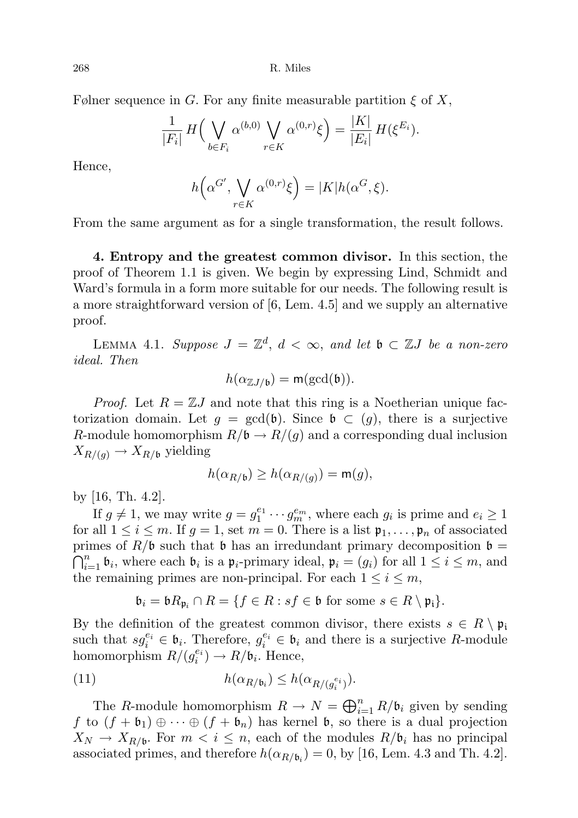Følner sequence in G. For any finite measurable partition  $\xi$  of X,

$$
\frac{1}{|F_i|} H\left(\bigvee_{b \in F_i} \alpha^{(b,0)} \bigvee_{r \in K} \alpha^{(0,r)} \xi\right) = \frac{|K|}{|E_i|} H(\xi^{E_i}).
$$

Hence,

$$
h\left(\alpha^{G'}, \bigvee_{r \in K} \alpha^{(0,r)}\xi\right) = |K|h(\alpha^{G}, \xi).
$$

From the same argument as for a single transformation, the result follows.

4. Entropy and the greatest common divisor. In this section, the proof of Theorem 1.1 is given. We begin by expressing Lind, Schmidt and Ward's formula in a form more suitable for our needs. The following result is a more straightforward version of [6, Lem. 4.5] and we supply an alternative proof.

LEMMA 4.1. Suppose  $J = \mathbb{Z}^d$ ,  $d < \infty$ , and let  $\mathfrak{b} \subset \mathbb{Z}J$  be a non-zero ideal. Then

$$
h(\alpha_{\mathbb{Z}J/\mathfrak{b}}) = \mathsf{m}(\gcd(\mathfrak{b})).
$$

*Proof.* Let  $R = \mathbb{Z}J$  and note that this ring is a Noetherian unique factorization domain. Let  $g = \gcd(\mathfrak{b})$ . Since  $\mathfrak{b} \subset (g)$ , there is a surjective R-module homomorphism  $R/\mathfrak{b} \to R/(g)$  and a corresponding dual inclusion  $X_{R/(g)} \to X_{R/\mathfrak{b}}$  yielding

$$
h(\alpha_{R/\mathfrak{b}}) \ge h(\alpha_{R/(g)}) = \mathsf{m}(g),
$$

by [16, Th. 4.2].

If  $g \neq 1$ , we may write  $g = g_1^{e_1} \cdots g_m^{e_m}$ , where each  $g_i$  is prime and  $e_i \geq 1$ for all  $1 \leq i \leq m$ . If  $g = 1$ , set  $m = 0$ . There is a list  $\mathfrak{p}_1, \ldots, \mathfrak{p}_n$  of associated primes of  $R/\mathfrak{b}$  such that  $\mathfrak{b}$  has an irredundant primary decomposition  $\mathfrak{b} =$  $\bigcap_{i=1}^n \mathfrak{b}_i$ , where each  $\mathfrak{b}_i$  is a  $\mathfrak{p}_i$ -primary ideal,  $\mathfrak{p}_i = (g_i)$  for all  $1 \leq i \leq m$ , and the remaining primes are non-principal. For each  $1 \leq i \leq m$ ,

$$
\mathfrak{b}_i = \mathfrak{b} R_{\mathfrak{p}_i} \cap R = \{ f \in R : sf \in \mathfrak{b} \text{ for some } s \in R \setminus \mathfrak{p}_i \}.
$$

By the definition of the greatest common divisor, there exists  $s \in R \setminus \mathfrak{p}_i$ such that  $sg_i^{e_i} \in \mathfrak{b}_i$ . Therefore,  $g_i^{e_i} \in \mathfrak{b}_i$  and there is a surjective R-module homomorphism  $R/(g_i^{e_i}) \to R/\mathfrak{b}_i$ . Hence,

(11) 
$$
h(\alpha_{R/\mathfrak{b}_i}) \leq h(\alpha_{R/(g_i^{e_i})}).
$$

The R-module homomorphism  $R \to N = \bigoplus_{i=1}^n R/\mathfrak{b}_i$  given by sending f to  $(f + b_1) \oplus \cdots \oplus (f + b_n)$  has kernel b, so there is a dual projection  $X_N \to X_{R/\mathfrak{b}}$ . For  $m < i \leq n$ , each of the modules  $R/\mathfrak{b}_i$  has no principal associated primes, and therefore  $h(\alpha_{R/\mathfrak{b}_i}) = 0$ , by [16, Lem. 4.3 and Th. 4.2].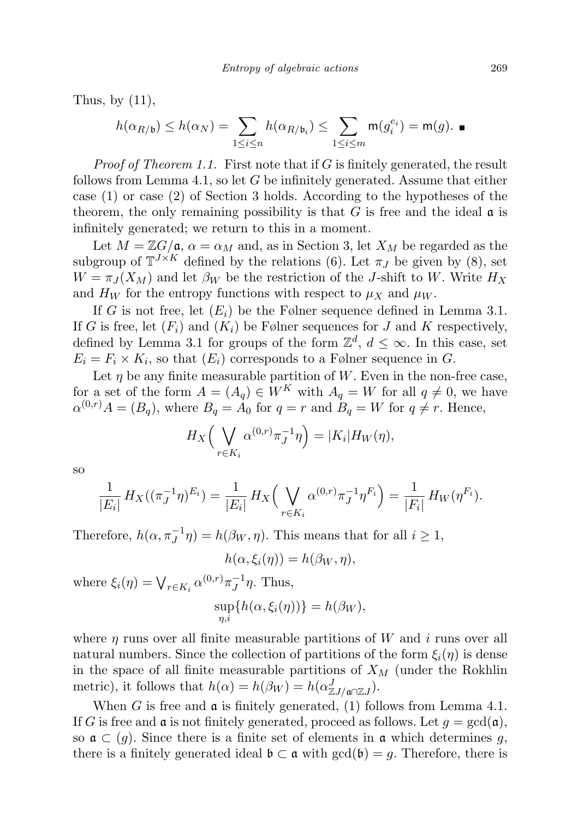Thus, by  $(11)$ ,

$$
h(\alpha_{R/\mathfrak b})\le h(\alpha_N)=\sum_{1\le i\le n}h(\alpha_{R/\mathfrak b_i})\le \sum_{1\le i\le m}\mathsf m(g_i^{e_i})=\mathsf m(g).
$$

*Proof of Theorem 1.1.* First note that if  $G$  is finitely generated, the result follows from Lemma 4.1, so let  $G$  be infinitely generated. Assume that either case (1) or case (2) of Section 3 holds. According to the hypotheses of the theorem, the only remaining possibility is that  $G$  is free and the ideal  $\alpha$  is infinitely generated; we return to this in a moment.

Let  $M = \mathbb{Z}G/\mathfrak{a}, \alpha = \alpha_M$  and, as in Section 3, let  $X_M$  be regarded as the subgroup of  $\mathbb{T}^{J \times K}$  defined by the relations (6). Let  $\pi_J$  be given by (8), set  $W = \pi_J(X_M)$  and let  $\beta_W$  be the restriction of the J-shift to W. Write  $H_X$ and  $H_W$  for the entropy functions with respect to  $\mu_X$  and  $\mu_W$ .

If G is not free, let  $(E_i)$  be the Følner sequence defined in Lemma 3.1. If G is free, let  $(F_i)$  and  $(K_i)$  be Følner sequences for J and K respectively, defined by Lemma 3.1 for groups of the form  $\mathbb{Z}^d$ ,  $d \leq \infty$ . In this case, set  $E_i = F_i \times K_i$ , so that  $(E_i)$  corresponds to a Følner sequence in G.

Let  $\eta$  be any finite measurable partition of W. Even in the non-free case, for a set of the form  $A = (A_q) \in W^K$  with  $A_q = W$  for all  $q \neq 0$ , we have  $\alpha^{(0,r)}A = (B_q)$ , where  $B_q = A_0$  for  $q = r$  and  $B_q = W$  for  $q \neq r$ . Hence,

$$
H_X\Big(\bigvee_{r\in K_i}\alpha^{(0,r)}\pi_J^{-1}\eta\Big)=|K_i|H_W(\eta),
$$

so

$$
\frac{1}{|E_i|} H_X((\pi_J^{-1} \eta)^{E_i}) = \frac{1}{|E_i|} H_X\Big(\bigvee_{r \in K_i} \alpha^{(0,r)} \pi_J^{-1} \eta^{F_i}\Big) = \frac{1}{|F_i|} H_W(\eta^{F_i}).
$$

Therefore,  $h(\alpha, \pi_J^{-1}\eta) = h(\beta_W, \eta)$ . This means that for all  $i \geq 1$ ,

$$
h(\alpha, \xi_i(\eta)) = h(\beta_W, \eta),
$$

where  $\xi_i(\eta) = \bigvee_{r \in K_i} \alpha^{(0,r)} \pi_J^{-1}$  $\overline{J}^1\eta$ . Thus,

$$
\sup_{\eta,i}\{h(\alpha,\xi_i(\eta))\}=h(\beta_W),
$$

where  $\eta$  runs over all finite measurable partitions of W and i runs over all natural numbers. Since the collection of partitions of the form  $\xi_i(\eta)$  is dense in the space of all finite measurable partitions of  $X_M$  (under the Rokhlin metric), it follows that  $h(\alpha) = h(\beta_W) = h(\alpha_{\mathbb{Z}J/\mathfrak{a}\cap\mathbb{Z}J}^J)$ .

When G is free and  $\mathfrak a$  is finitely generated, (1) follows from Lemma 4.1. If G is free and  $\mathfrak a$  is not finitely generated, proceed as follows. Let  $g = \gcd(\mathfrak a)$ , so  $\mathfrak{a} \subset (q)$ . Since there is a finite set of elements in  $\mathfrak{a}$  which determines g, there is a finitely generated ideal  $\mathfrak{b} \subset \mathfrak{a}$  with  $gcd(\mathfrak{b}) = g$ . Therefore, there is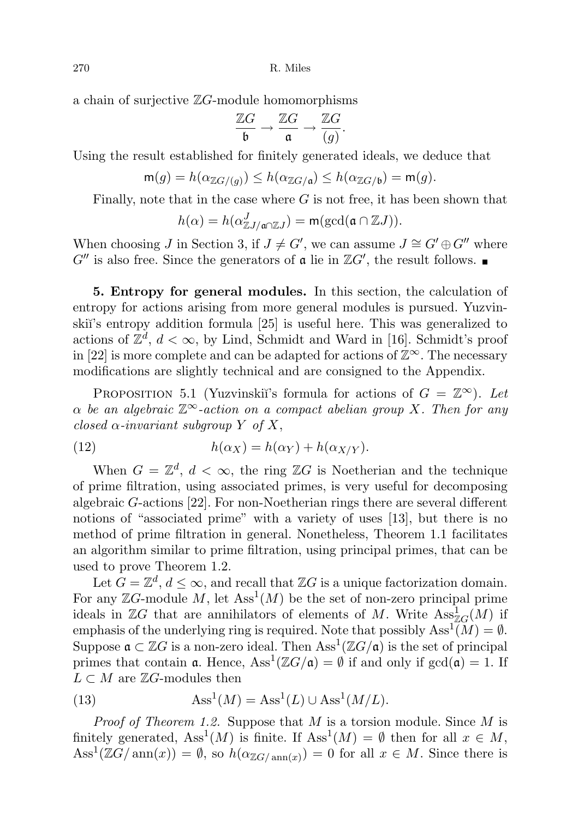a chain of surjective  $\mathbb{Z}G$ -module homomorphisms

$$
\frac{\mathbb{Z}G}{\mathfrak{b}} \to \frac{\mathbb{Z}G}{\mathfrak{a}} \to \frac{\mathbb{Z}G}{(g)}.
$$

Using the result established for finitely generated ideals, we deduce that

$$
\mathsf{m}(g) = h(\alpha_{\mathbb{Z}G/(g)}) \le h(\alpha_{\mathbb{Z}G/\mathfrak{a}}) \le h(\alpha_{\mathbb{Z}G/\mathfrak{b}}) = \mathsf{m}(g).
$$

Finally, note that in the case where  $G$  is not free, it has been shown that

$$
h(\alpha) = h(\alpha_{\mathbb{Z}J/\mathfrak{a}\cap\mathbb{Z}J}^J) = \mathsf{m}(\gcd(\mathfrak{a}\cap\mathbb{Z}J)).
$$

When choosing J in Section 3, if  $J \neq G'$ , we can assume  $J \cong G' \oplus G''$  where  $G''$  is also free. Since the generators of  $\mathfrak a$  lie in  $\mathbb ZG'$ , the result follows.

5. Entropy for general modules. In this section, the calculation of entropy for actions arising from more general modules is pursued. Yuzvinski<sup> $\gamma$ </sup>'s entropy addition formula  $\lceil 25 \rceil$  is useful here. This was generalized to actions of  $\mathbb{Z}^d$ ,  $d < \infty$ , by Lind, Schmidt and Ward in [16]. Schmidt's proof in [22] is more complete and can be adapted for actions of  $\mathbb{Z}^{\infty}$ . The necessary modifications are slightly technical and are consigned to the Appendix.

PROPOSITION 5.1 (Yuzvinskiı̆'s formula for actions of  $G = \mathbb{Z}^{\infty}$ ). Let  $\alpha$  be an algebraic  $\mathbb{Z}^{\infty}$ -action on a compact abelian group X. Then for any closed  $\alpha$ -invariant subgroup Y of X,

(12) 
$$
h(\alpha_X) = h(\alpha_Y) + h(\alpha_{X/Y}).
$$

When  $G = \mathbb{Z}^d$ ,  $d < \infty$ , the ring  $\mathbb{Z}G$  is Noetherian and the technique of prime filtration, using associated primes, is very useful for decomposing algebraic G-actions [22]. For non-Noetherian rings there are several different notions of "associated prime" with a variety of uses [13], but there is no method of prime filtration in general. Nonetheless, Theorem 1.1 facilitates an algorithm similar to prime filtration, using principal primes, that can be used to prove Theorem 1.2.

Let  $G = \mathbb{Z}^d$ ,  $d \leq \infty$ , and recall that  $\mathbb{Z}G$  is a unique factorization domain. For any  $\mathbb{Z}G$ -module M, let  $\mathrm{Ass}^1(M)$  be the set of non-zero principal prime ideals in  $\mathbb{Z}G$  that are annihilators of elements of M. Write  $\operatorname{Ass}_{\mathbb{Z}G}^1(M)$  if emphasis of the underlying ring is required. Note that possibly  $\text{Ass}^1(M) = \emptyset$ . Suppose  $\mathfrak{a} \subset \mathbb{Z}G$  is a non-zero ideal. Then  $\mathrm{Ass}^1(\mathbb{Z}G/\mathfrak{a})$  is the set of principal primes that contain **a**. Hence,  $\text{Ass}^1(\mathbb{Z}G/\mathfrak{a}) = \emptyset$  if and only if  $\gcd(\mathfrak{a}) = 1$ . If  $L \subset M$  are  $\mathbb{Z}G$ -modules then

(13) 
$$
Ass1(M) = Ass1(L) \cup Ass1(M/L).
$$

*Proof of Theorem 1.2.* Suppose that  $M$  is a torsion module. Since  $M$  is finitely generated,  $\text{Ass}^1(M)$  is finite. If  $\text{Ass}^1(M) = \emptyset$  then for all  $x \in M$ ,  $\text{Ass}^1(\mathbb{Z}G/\text{ann}(x)) = \emptyset$ , so  $h(\alpha_{\mathbb{Z}G/\text{ann}(x)}) = 0$  for all  $x \in M$ . Since there is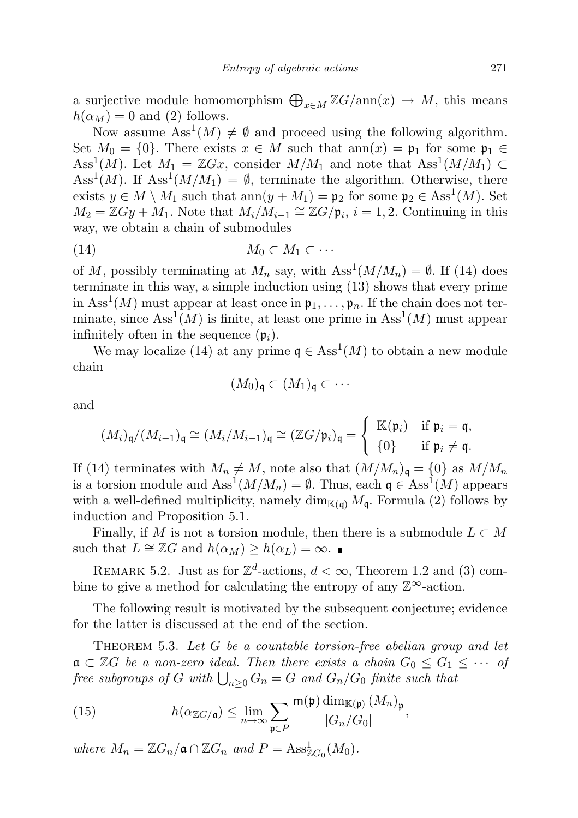a surjective module homomorphism  $\bigoplus_{x \in M} \mathbb{Z}G/\text{ann}(x) \to M$ , this means  $h(\alpha_M) = 0$  and (2) follows.

Now assume  $\text{Ass}^1(M) \neq \emptyset$  and proceed using the following algorithm. Set  $M_0 = \{0\}$ . There exists  $x \in M$  such that  $ann(x) = \mathfrak{p}_1$  for some  $\mathfrak{p}_1 \in$ Ass<sup>1</sup>(M). Let  $M_1 = \mathbb{Z}Gx$ , consider  $M/M_1$  and note that Ass<sup>1</sup>( $M/M_1$ ) ⊂ Ass<sup>1</sup>(M). If Ass<sup>1</sup>(M/M<sub>1</sub>) =  $\emptyset$ , terminate the algorithm. Otherwise, there exists  $y \in M \setminus M_1$  such that  $ann(y + M_1) = \mathfrak{p}_2$  for some  $\mathfrak{p}_2 \in \text{Ass}^1(M)$ . Set  $M_2 = \mathbb{Z}Gy + M_1$ . Note that  $M_i/M_{i-1} \cong \mathbb{Z}G/\mathfrak{p}_i$ ,  $i = 1, 2$ . Continuing in this way, we obtain a chain of submodules

$$
(14) \t\t\t M_0 \subset M_1 \subset \cdots
$$

of M, possibly terminating at  $M_n$  say, with  $\text{Ass}^1(M/M_n) = \emptyset$ . If (14) does terminate in this way, a simple induction using (13) shows that every prime in  $\text{Ass}^1(M)$  must appear at least once in  $\mathfrak{p}_1, \ldots, \mathfrak{p}_n$ . If the chain does not terminate, since  $\text{Ass}^1(M)$  is finite, at least one prime in  $\text{Ass}^1(M)$  must appear infinitely often in the sequence  $(\mathfrak{p}_i)$ .

We may localize (14) at any prime  $\mathfrak{q} \in \text{Ass}^1(M)$  to obtain a new module chain

$$
(M_0)_{\mathfrak{q}} \subset (M_1)_{\mathfrak{q}} \subset \cdots
$$

and

$$
(M_i)_{\mathfrak{q}}/(M_{i-1})_{\mathfrak{q}} \cong (M_i/M_{i-1})_{\mathfrak{q}} \cong (\mathbb{Z}G/\mathfrak{p}_i)_{\mathfrak{q}} = \begin{cases} \mathbb{K}(\mathfrak{p}_i) & \text{if } \mathfrak{p}_i = \mathfrak{q}, \\ \{0\} & \text{if } \mathfrak{p}_i \neq \mathfrak{q}. \end{cases}
$$

If (14) terminates with  $M_n \neq M$ , note also that  $(M/M_n)_{\mathfrak{q}} = \{0\}$  as  $M/M_n$ is a torsion module and  $\text{Ass}^1(M/M_n) = \emptyset$ . Thus, each  $\mathfrak{q} \in \text{Ass}^1(M)$  appears with a well-defined multiplicity, namely  $\dim_{\mathbb{K}(\mathfrak{a})} M_{\mathfrak{q}}$ . Formula (2) follows by induction and Proposition 5.1.

Finally, if M is not a torsion module, then there is a submodule  $L \subset M$ such that  $L \cong \mathbb{Z}G$  and  $h(\alpha_M) \geq h(\alpha_L) = \infty$ .

REMARK 5.2. Just as for  $\mathbb{Z}^d$ -actions,  $d < \infty$ , Theorem 1.2 and (3) combine to give a method for calculating the entropy of any  $\mathbb{Z}^{\infty}$ -action.

The following result is motivated by the subsequent conjecture; evidence for the latter is discussed at the end of the section.

THEOREM 5.3. Let  $G$  be a countable torsion-free abelian group and let  $a \subset \mathbb{Z}$  be a non-zero ideal. Then there exists a chain  $G_0 \leq G_1 \leq \cdots$  of  ${\it free\ subgroups\ of}\ G\ with\ \bigcup_{n\geq 0} G_n = G\ and\ G_n/G_0\ finite\ such\ that$ 

(15) 
$$
h(\alpha_{\mathbb{Z}G/\mathfrak{a}}) \leq \lim_{n \to \infty} \sum_{\mathfrak{p} \in P} \frac{\mathsf{m}(\mathfrak{p}) \dim_{\mathbb{K}(\mathfrak{p})} (M_n)_{\mathfrak{p}}}{|G_n/G_0|},
$$

where  $M_n = \mathbb{Z}G_n/\mathfrak{a} \cap \mathbb{Z}G_n$  and  $P = \text{Ass}_{\mathbb{Z}G_0}^1(M_0)$ .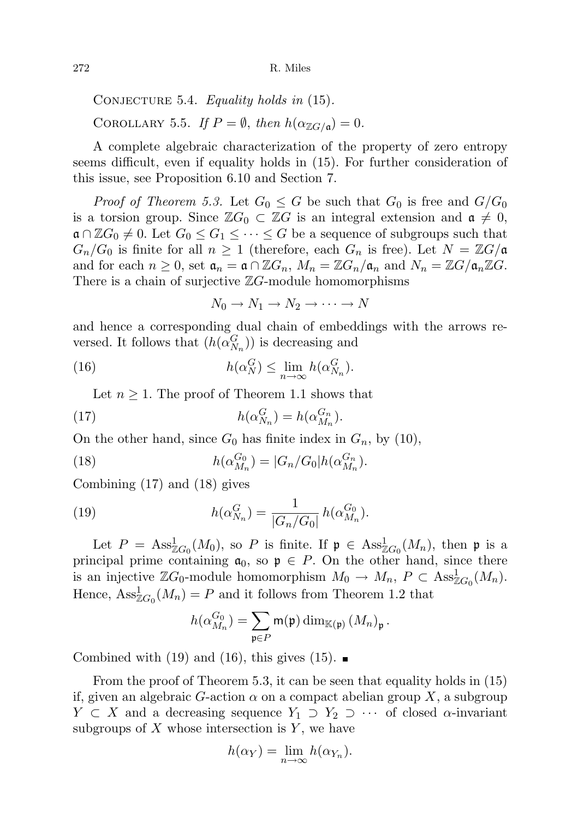CONJECTURE 5.4. Equality holds in  $(15)$ . COROLLARY 5.5. If  $P = \emptyset$ , then  $h(\alpha_{\mathbb{Z}G/\mathfrak{a}}) = 0$ .

A complete algebraic characterization of the property of zero entropy seems difficult, even if equality holds in (15). For further consideration of this issue, see Proposition 6.10 and Section 7.

*Proof of Theorem 5.3.* Let  $G_0 \leq G$  be such that  $G_0$  is free and  $G/G_0$ is a torsion group. Since  $\mathbb{Z}G_0 \subset \mathbb{Z}G$  is an integral extension and  $\mathfrak{a} \neq 0$ ,  $\mathfrak{a} \cap \mathbb{Z}G_0 \neq 0$ . Let  $G_0 \leq G_1 \leq \cdots \leq G$  be a sequence of subgroups such that  $G_n/G_0$  is finite for all  $n \geq 1$  (therefore, each  $G_n$  is free). Let  $N = \mathbb{Z}G/\mathfrak{a}$ and for each  $n \geq 0$ , set  $\mathfrak{a}_n = \mathfrak{a} \cap \mathbb{Z}G_n$ ,  $M_n = \mathbb{Z}G_n/\mathfrak{a}_n$  and  $N_n = \mathbb{Z}G/\mathfrak{a}_n \mathbb{Z}G$ . There is a chain of surjective  $\mathbb{Z}G$ -module homomorphisms

 $N_0 \rightarrow N_1 \rightarrow N_2 \rightarrow \cdots \rightarrow N$ 

and hence a corresponding dual chain of embeddings with the arrows reversed. It follows that  $(h(\alpha_{N_n}^G))$  is decreasing and

(16) 
$$
h(\alpha_N^G) \le \lim_{n \to \infty} h(\alpha_{N_n}^G).
$$

Let  $n \geq 1$ . The proof of Theorem 1.1 shows that

(17) 
$$
h(\alpha_{N_n}^G) = h(\alpha_{M_n}^{G_n}).
$$

On the other hand, since  $G_0$  has finite index in  $G_n$ , by (10),

(18) 
$$
h(\alpha_{M_n}^{G_0}) = |G_n/G_0| h(\alpha_{M_n}^{G_n}).
$$

Combining (17) and (18) gives

(19) 
$$
h(\alpha_{N_n}^G) = \frac{1}{|G_n/G_0|} h(\alpha_{M_n}^{G_0}).
$$

Let  $P = \text{Ass}_{\mathbb{Z}G_0}^1(M_0)$ , so P is finite. If  $\mathfrak{p} \in \text{Ass}_{\mathbb{Z}G_0}^1(M_n)$ , then  $\mathfrak{p}$  is a principal prime containing  $a_0$ , so  $p \in P$ . On the other hand, since there is an injective  $\mathbb{Z}G_0$ -module homomorphism  $M_0 \to M_n$ ,  $P \subset \text{Ass}_{\mathbb{Z}G_0}^1(M_n)$ . Hence,  $\operatorname{Ass}_{\mathbb{Z}G_0}^1(M_n) = P$  and it follows from Theorem 1.2 that

$$
h(\alpha_{M_n}^{G_0})=\sum_{\mathfrak{p}\in P}\mathsf{m}(\mathfrak{p})\dim_{\mathbb{K}(\mathfrak{p})}(M_n)_{\mathfrak{p}}.
$$

Combined with (19) and (16), this gives (15).

From the proof of Theorem 5.3, it can be seen that equality holds in (15) if, given an algebraic G-action  $\alpha$  on a compact abelian group X, a subgroup  $Y \subset X$  and a decreasing sequence  $Y_1 \supset Y_2 \supset \cdots$  of closed  $\alpha$ -invariant subgroups of  $X$  whose intersection is  $Y$ , we have

$$
h(\alpha_Y) = \lim_{n \to \infty} h(\alpha_{Y_n}).
$$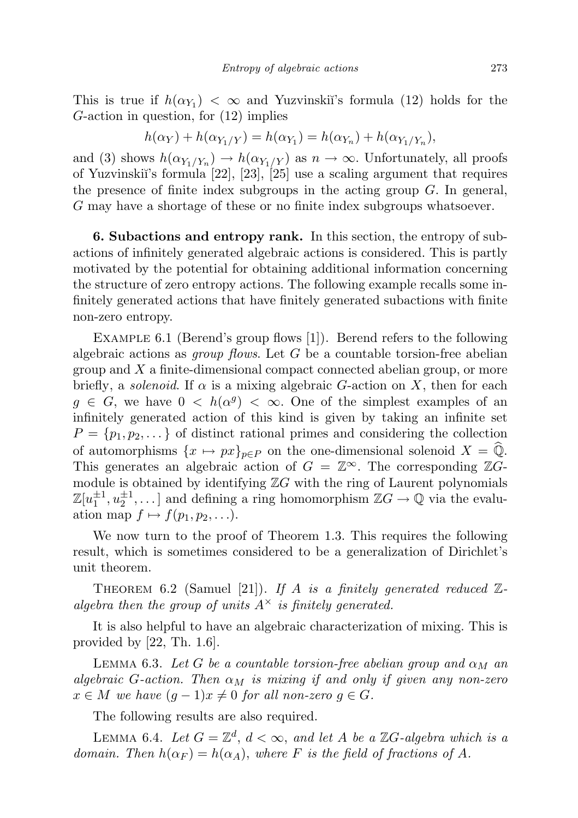$$
h(\alpha_Y) + h(\alpha_{Y_1/Y}) = h(\alpha_{Y_1}) = h(\alpha_{Y_n}) + h(\alpha_{Y_1/Y_n}),
$$

and (3) shows  $h(\alpha_{Y_1/Y_n}) \to h(\alpha_{Y_1/Y})$  as  $n \to \infty$ . Unfortunately, all proofs of Yuzvinskii's formula  $[22]$ ,  $[23]$ ,  $[25]$  use a scaling argument that requires the presence of finite index subgroups in the acting group  $G$ . In general, G may have a shortage of these or no finite index subgroups whatsoever.

6. Subactions and entropy rank. In this section, the entropy of subactions of infinitely generated algebraic actions is considered. This is partly motivated by the potential for obtaining additional information concerning the structure of zero entropy actions. The following example recalls some infinitely generated actions that have finitely generated subactions with finite non-zero entropy.

EXAMPLE 6.1 (Berend's group flows [1]). Berend refers to the following algebraic actions as *group flows*. Let  $G$  be a countable torsion-free abelian group and  $X$  a finite-dimensional compact connected abelian group, or more briefly, a *solenoid*. If  $\alpha$  is a mixing algebraic G-action on X, then for each  $g \in G$ , we have  $0 \leq h(\alpha^g) \leq \infty$ . One of the simplest examples of an infinitely generated action of this kind is given by taking an infinite set  $P = \{p_1, p_2, \dots\}$  of distinct rational primes and considering the collection of automorphisms  $\{x \mapsto px\}_{p\in P}$  on the one-dimensional solenoid  $X = \hat{\mathbb{Q}}$ . This generates an algebraic action of  $G = \mathbb{Z}^{\infty}$ . The corresponding  $\mathbb{Z}G$ module is obtained by identifying  $Z$ G with the ring of Laurent polynomials  $\mathbb{Z}[u_1^{\pm 1}, u_2^{\pm 1}, \dots]$  and defining a ring homomorphism  $\mathbb{Z}G \to \mathbb{Q}$  via the evaluation map  $f \mapsto f(p_1, p_2, \ldots)$ .

We now turn to the proof of Theorem 1.3. This requires the following result, which is sometimes considered to be a generalization of Dirichlet's unit theorem.

THEOREM 6.2 (Samuel [21]). If A is a finitely generated reduced  $\mathbb{Z}$ algebra then the group of units  $A^{\times}$  is finitely generated.

It is also helpful to have an algebraic characterization of mixing. This is provided by  $|22, Th. 1.6|$ .

LEMMA 6.3. Let G be a countable torsion-free abelian group and  $\alpha_M$  an algebraic G-action. Then  $\alpha_M$  is mixing if and only if given any non-zero  $x \in M$  we have  $(g-1)x \neq 0$  for all non-zero  $g \in G$ .

The following results are also required.

LEMMA 6.4. Let  $G = \mathbb{Z}^d$ ,  $d < \infty$ , and let A be a  $\mathbb{Z}G$ -algebra which is a domain. Then  $h(\alpha_F) = h(\alpha_A)$ , where F is the field of fractions of A.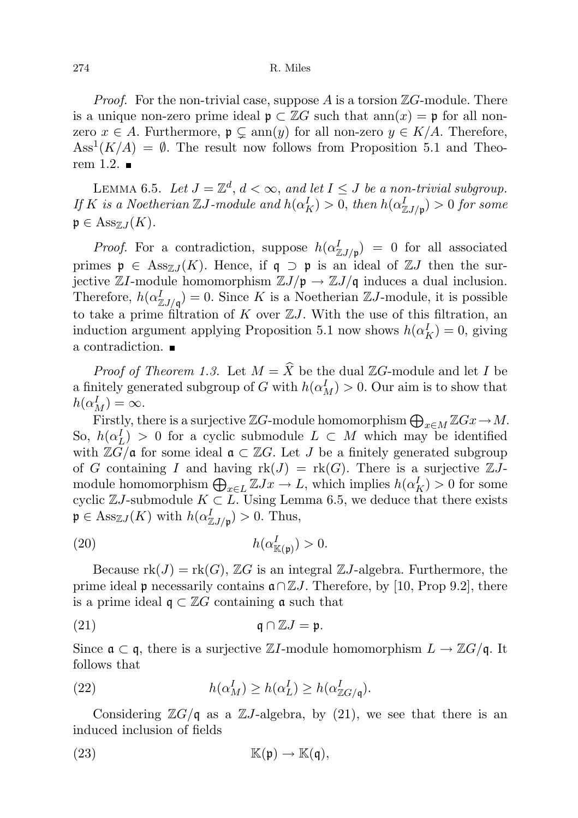*Proof.* For the non-trivial case, suppose A is a torsion  $\mathbb{Z}G$ -module. There is a unique non-zero prime ideal  $\mathfrak{p} \subset \mathbb{Z}G$  such that  $ann(x) = \mathfrak{p}$  for all nonzero  $x \in A$ . Furthermore,  $\mathfrak{p} \subsetneq \text{ann}(y)$  for all non-zero  $y \in K/A$ . Therefore,  $\text{Ass}^1(K/A) = \emptyset$ . The result now follows from Proposition 5.1 and Theorem 1.2.  $\blacksquare$ 

LEMMA 6.5. Let  $J = \mathbb{Z}^d$ ,  $d < \infty$ , and let  $I \leq J$  be a non-trivial subgroup. If K is a Noetherian  $\mathbb{Z} J$ -module and  $h(\alpha_K^I) > 0$ , then  $h(\alpha_{\mathbb{Z} J/\mathfrak{p}}^I) > 0$  for some  $\mathfrak{p} \in \mathrm{Ass}_{\mathbb{Z}J}(K).$ 

*Proof.* For a contradiction, suppose  $h(\alpha_{\mathbb{Z}J/\mathfrak{p}}^I) = 0$  for all associated primes  $\mathfrak{p} \in \text{Ass}_{\mathbb{Z}J}(K)$ . Hence, if  $\mathfrak{q} \supset \mathfrak{p}$  is an ideal of  $\mathbb{Z}J$  then the surjective ZI-module homomorphism  $\mathbb{Z}J/\mathfrak{p} \to \mathbb{Z}J/\mathfrak{q}$  induces a dual inclusion. Therefore,  $h(\alpha_{\mathbb{Z}J/\mathfrak{q}}^I)=0$ . Since K is a Noetherian  $\mathbb{Z}J$ -module, it is possible to take a prime filtration of K over  $ZJ$ . With the use of this filtration, an induction argument applying Proposition 5.1 now shows  $h(\alpha_K^I) = 0$ , giving a contradiction.

*Proof of Theorem 1.3.* Let  $M = \widehat{X}$  be the dual ZG-module and let I be a finitely generated subgroup of G with  $h(\alpha_M^I) > 0$ . Our aim is to show that  $h(\alpha_M^I)=\infty.$ 

Firstly, there is a surjective  $\mathbb{Z}G$ -module homomorphism  $\bigoplus_{x\in M} \mathbb{Z}Gx \to M$ . So,  $h(\alpha_L^I) > 0$  for a cyclic submodule  $L \subset M$  which may be identified with  $\mathbb{Z}\overline{G}/\mathfrak{a}$  for some ideal  $\mathfrak{a} \subset \mathbb{Z}G$ . Let J be a finitely generated subgroup of G containing I and having  $\text{rk}(J) = \text{rk}(G)$ . There is a surjective  $\mathbb{Z}J$ module homomorphism  $\bigoplus_{x \in L} \mathbb{Z} Jx \to L$ , which implies  $h(\alpha_K^I) > 0$  for some cyclic  $\mathbb{Z}J$ -submodule  $K \subset L$ . Using Lemma 6.5, we deduce that there exists  $\mathfrak{p} \in \text{Ass}_{\mathbb{Z}J}(K)$  with  $h(\alpha_{\mathbb{Z}J/\mathfrak{p}}^{I}) > 0$ . Thus,

$$
(20) \t\t\t\t\t h(\alpha^I_{\mathbb{K}(\mathfrak{p})}) > 0.
$$

Because  $rk(J) = rk(G)$ ,  $\mathbb{Z}G$  is an integral  $\mathbb{Z}J$ -algebra. Furthermore, the prime ideal p necessarily contains  $\mathfrak{a} \cap \mathbb{Z} J$ . Therefore, by [10, Prop 9.2], there is a prime ideal  $\mathfrak{q} \subset \mathbb{Z}G$  containing  $\mathfrak{a}$  such that

(21) 
$$
\mathfrak{q} \cap \mathbb{Z}J = \mathfrak{p}.
$$

Since  $\mathfrak{a} \subset \mathfrak{q}$ , there is a surjective ZI-module homomorphism  $L \to \mathbb{Z}G/\mathfrak{q}$ . It follows that

(22) 
$$
h(\alpha_M^I) \ge h(\alpha_L^I) \ge h(\alpha_{\mathbb{Z}G/\mathfrak{q}}^I).
$$

Considering  $\mathbb{Z}G/\mathfrak{q}$  as a  $\mathbb{Z}J$ -algebra, by (21), we see that there is an induced inclusion of fields

(23) 
$$
\mathbb{K}(\mathfrak{p}) \to \mathbb{K}(\mathfrak{q}),
$$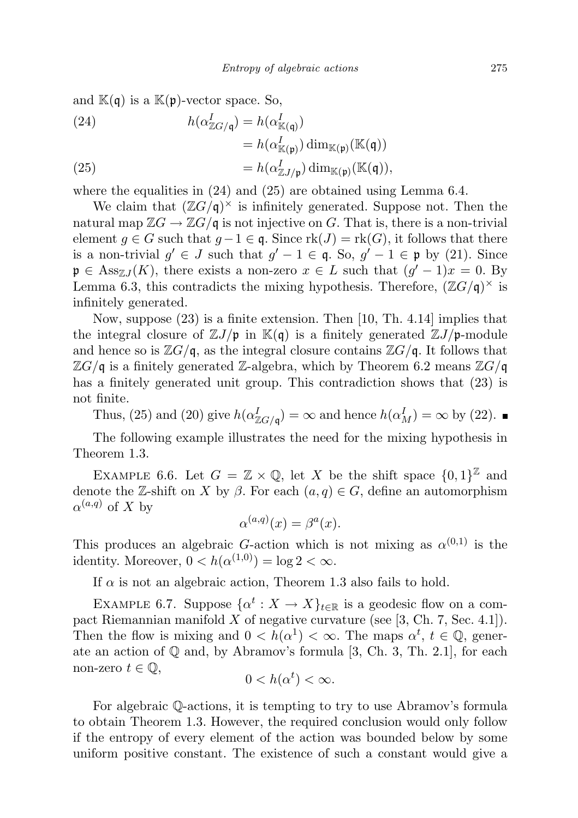and  $\mathbb{K}(\mathfrak{q})$  is a  $\mathbb{K}(\mathfrak{p})$ -vector space. So,

(24)  
\n
$$
h(\alpha_{\mathbb{Z}G/\mathfrak{q}}^I) = h(\alpha_{\mathbb{K}(\mathfrak{q})}^I)
$$
\n
$$
= h(\alpha_{\mathbb{K}(\mathfrak{p})}^I) \dim_{\mathbb{K}(\mathfrak{p})} (\mathbb{K}(\mathfrak{q}))
$$
\n
$$
= h(\alpha_{\mathbb{Z}J/\mathfrak{p}}^I) \dim_{\mathbb{K}(\mathfrak{p})} (\mathbb{K}(\mathfrak{q})),
$$
\n(25)

where the equalities in  $(24)$  and  $(25)$  are obtained using Lemma 6.4.

We claim that  $(\mathbb{Z}G/\mathfrak{q})^{\times}$  is infinitely generated. Suppose not. Then the natural map  $\mathbb{Z}G \to \mathbb{Z}G/\mathfrak{q}$  is not injective on G. That is, there is a non-trivial element  $g \in G$  such that  $g-1 \in \mathfrak{q}$ . Since  $\text{rk}(J) = \text{rk}(G)$ , it follows that there is a non-trivial  $g' \in J$  such that  $g' - 1 \in \mathfrak{q}$ . So,  $g' - 1 \in \mathfrak{p}$  by (21). Since  $\mathfrak{p} \in \text{Ass}_{\mathbb{Z}J}(K)$ , there exists a non-zero  $x \in L$  such that  $(g' - 1)x = 0$ . By Lemma 6.3, this contradicts the mixing hypothesis. Therefore,  $(\mathbb{Z}G/\mathfrak{q})^{\times}$  is infinitely generated.

Now, suppose (23) is a finite extension. Then [10, Th. 4.14] implies that the integral closure of  $\mathbb{Z}J/\mathfrak{p}$  in  $\mathbb{K}(\mathfrak{q})$  is a finitely generated  $\mathbb{Z}J/\mathfrak{p}$ -module and hence so is  $\mathbb{Z}G/\mathfrak{q}$ , as the integral closure contains  $\mathbb{Z}G/\mathfrak{q}$ . It follows that  $\mathbb{Z}G/\mathfrak{q}$  is a finitely generated Z-algebra, which by Theorem 6.2 means  $\mathbb{Z}G/\mathfrak{q}$ has a finitely generated unit group. This contradiction shows that (23) is not finite.

Thus, (25) and (20) give  $h(\alpha_{\mathbb{Z}G/\mathfrak{q}}^I) = \infty$  and hence  $h(\alpha_M^I) = \infty$  by (22).

The following example illustrates the need for the mixing hypothesis in Theorem 1.3.

EXAMPLE 6.6. Let  $G = \mathbb{Z} \times \mathbb{Q}$ , let X be the shift space  $\{0,1\}^{\mathbb{Z}}$  and denote the Z-shift on X by  $\beta$ . For each  $(a, q) \in G$ , define an automorphism  $\alpha^{(a,q)}$  of X by

$$
\alpha^{(a,q)}(x) = \beta^a(x).
$$

This produces an algebraic G-action which is not mixing as  $\alpha^{(0,1)}$  is the identity. Moreover,  $0 < h(\alpha^{(1,0)}) = \log 2 < \infty$ .

If  $\alpha$  is not an algebraic action, Theorem 1.3 also fails to hold.

EXAMPLE 6.7. Suppose  $\{\alpha^t: X \to X\}_{t \in \mathbb{R}}$  is a geodesic flow on a compact Riemannian manifold  $X$  of negative curvature (see [3, Ch. 7, Sec. 4.1]). Then the flow is mixing and  $0 < h(\alpha^1) < \infty$ . The maps  $\alpha^t$ ,  $t \in \mathbb{Q}$ , generate an action of Q and, by Abramov's formula [3, Ch. 3, Th. 2.1], for each non-zero  $t \in \mathbb{Q}$ ,

$$
0
$$

For algebraic Q-actions, it is tempting to try to use Abramov's formula to obtain Theorem 1.3. However, the required conclusion would only follow if the entropy of every element of the action was bounded below by some uniform positive constant. The existence of such a constant would give a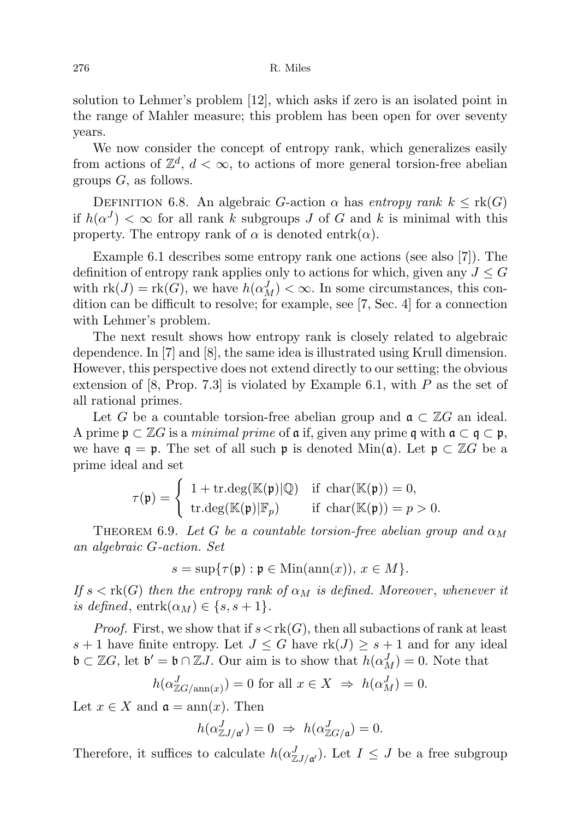solution to Lehmer's problem [12], which asks if zero is an isolated point in the range of Mahler measure; this problem has been open for over seventy years.

We now consider the concept of entropy rank, which generalizes easily from actions of  $\mathbb{Z}^d$ ,  $d < \infty$ , to actions of more general torsion-free abelian groups  $G$ , as follows.

DEFINITION 6.8. An algebraic G-action  $\alpha$  has entropy rank  $k \leq \text{rk}(G)$ if  $h(\alpha^J) < \infty$  for all rank k subgroups J of G and k is minimal with this property. The entropy rank of  $\alpha$  is denoted entrk $(\alpha)$ .

Example 6.1 describes some entropy rank one actions (see also [7]). The definition of entropy rank applies only to actions for which, given any  $J \leq G$ with  $\text{rk}(J) = \text{rk}(G)$ , we have  $h(\alpha_M^J) < \infty$ . In some circumstances, this condition can be difficult to resolve; for example, see [7, Sec. 4] for a connection with Lehmer's problem.

The next result shows how entropy rank is closely related to algebraic dependence. In [7] and [8], the same idea is illustrated using Krull dimension. However, this perspective does not extend directly to our setting; the obvious extension of  $[8, Prop. 7.3]$  is violated by Example 6.1, with P as the set of all rational primes.

Let G be a countable torsion-free abelian group and  $\mathfrak{a} \subset \mathbb{Z}$  an ideal. A prime  $\mathfrak{p} \subset \mathbb{Z}G$  is a minimal prime of  $\mathfrak{a}$  if, given any prime  $\mathfrak{q}$  with  $\mathfrak{a} \subset \mathfrak{q} \subset \mathfrak{p}$ , we have  $q = \mathfrak{p}$ . The set of all such  $\mathfrak{p}$  is denoted Min(a). Let  $\mathfrak{p} \subset \mathbb{Z}G$  be a prime ideal and set

$$
\tau(\mathfrak{p}) = \begin{cases} 1 + \mathrm{tr.deg}(\mathbb{K}(\mathfrak{p})|\mathbb{Q}) & \text{if char}(\mathbb{K}(\mathfrak{p})) = 0, \\ \mathrm{tr.deg}(\mathbb{K}(\mathfrak{p})|\mathbb{F}_p) & \text{if char}(\mathbb{K}(\mathfrak{p})) = p > 0. \end{cases}
$$

THEOREM 6.9. Let G be a countable torsion-free abelian group and  $\alpha_M$ an algebraic G-action. Set

$$
s = \sup \{ \tau(\mathfrak{p}) : \mathfrak{p} \in \text{Min}(\text{ann}(x)), \, x \in M \}.
$$

If  $s < \text{rk}(G)$  then the entropy rank of  $\alpha_M$  is defined. Moreover, whenever it is defined,  $entrk(\alpha_M) \in \{s, s+1\}.$ 

*Proof.* First, we show that if  $s \lt k(G)$ , then all subactions of rank at least s + 1 have finite entropy. Let  $J \leq G$  have  $rk(J) \geq s+1$  and for any ideal  $\mathfrak{b} \subset \mathbb{Z}G$ , let  $\mathfrak{b}' = \mathfrak{b} \cap \mathbb{Z}J$ . Our aim is to show that  $h(\alpha_M^J) = 0$ . Note that

$$
h(\alpha_{\mathbb{Z}G/\operatorname{ann}(x)}^J) = 0 \text{ for all } x \in X \implies h(\alpha_M^J) = 0.
$$

Let  $x \in X$  and  $\mathfrak{a} = \text{ann}(x)$ . Then

$$
h(\alpha_{\mathbb{Z}J/\mathfrak{a}'}^J) = 0 \Rightarrow h(\alpha_{\mathbb{Z}G/\mathfrak{a}}^J) = 0.
$$

Therefore, it suffices to calculate  $h(\alpha_{\mathbb{Z}J/\mathfrak{a}'}^J)$ . Let  $I \leq J$  be a free subgroup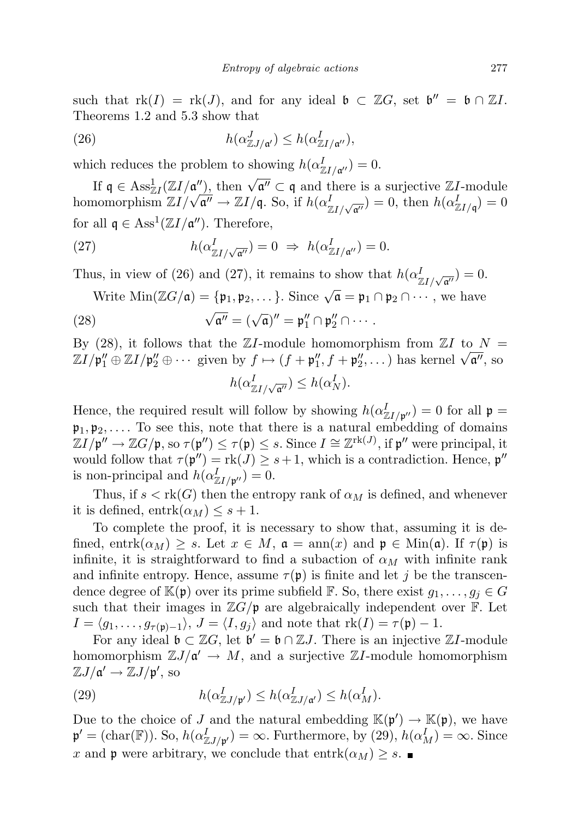such that  $rk(I) = rk(J)$ , and for any ideal  $\mathfrak{b} \subset \mathbb{Z}G$ , set  $\mathfrak{b}'' = \mathfrak{b} \cap \mathbb{Z}I$ . Theorems 1.2 and 5.3 show that

(26) 
$$
h(\alpha_{\mathbb{Z}J/\mathfrak{a}'}^J) \leq h(\alpha_{\mathbb{Z}I/\mathfrak{a}''}^I),
$$

which reduces the problem to showing  $h(\alpha_{\mathbb{Z}I/\mathfrak{a}''}^I)=0$ .

If  $\mathfrak{q} \in \text{Ass}_{\mathbb{Z}I}^1(\mathbb{Z}I/\mathfrak{a}'')$ , then  $\sqrt{\mathfrak{a}''} \subset \mathfrak{q}$  and there is a surjective  $\mathbb{Z}I$ -module If  $\mathfrak{q} \in \operatorname{Ass}_{\mathbb{Z}I}(\mathbb{Z}I/\mathfrak{a}^n)$ , then  $\forall \mathfrak{a}^n \subset \mathfrak{q}$  and there is a surjective  $\mathbb{Z}I$ -module<br>homomorphism  $\mathbb{Z}I/\sqrt{\mathfrak{a}^n} \to \mathbb{Z}I/\mathfrak{q}$ . So, if  $h(\alpha_{\mathbb{Z}I/\sqrt{\mathfrak{a}^n}}^I) = 0$ , then  $h(\alpha_{\$ for all  $\mathfrak{q} \in \text{Ass}^1(\mathbb{Z}I/\mathfrak{a}'')$ . Therefore,

(27) 
$$
h(\alpha_{\mathbb{Z}I/\sqrt{\mathfrak{a}''}}^I) = 0 \Rightarrow h(\alpha_{\mathbb{Z}I/\mathfrak{a}''}^I) = 0.
$$

Thus, in view of (26) and (27), it remains to show that  $h(\alpha_{\mathbb{Z}I/\sqrt{\mathfrak{a}''}}^I)=0$ .

Write Min(
$$
\mathbb{Z}G/\mathfrak{a}
$$
) = { $\mathfrak{p}_1, \mathfrak{p}_2, \ldots$ }. Since  $\sqrt{\mathfrak{a}} = \mathfrak{p}_1 \cap \mathfrak{p}_2 \cap \cdots$ , we have

(28) 
$$
\sqrt{\mathfrak{a}''} = (\sqrt{\mathfrak{a}})'' = \mathfrak{p}_1'' \cap \mathfrak{p}_2'' \cap \cdots
$$

By (28), it follows that the  $\mathbb{Z}I$ -module homomorphism from  $\mathbb{Z}I$  to  $N =$ By (28), it follows that the  $\mathbb{Z}I$ -module homomorphism from  $\mathbb{Z}I$  to  $N = \mathbb{Z}I/\mathfrak{p}_1'' \oplus \mathbb{Z}I/\mathfrak{p}_2'' \oplus \cdots$  given by  $f \mapsto (f + \mathfrak{p}_1'', f + \mathfrak{p}_2'', \dots)$  has kernel  $\sqrt{\mathfrak{a}}''$ , so  $h(\alpha_{\mathbb{Z}I/\sqrt{\mathfrak{a}''}}^I)\leq h(\alpha_N^I).$ 

Hence, the required result will follow by showing  $h(\alpha_{\mathbb{Z}I/\mathfrak{p}''}^I)=0$  for all  $\mathfrak{p}$  =  $\mathfrak{p}_1, \mathfrak{p}_2, \ldots$  To see this, note that there is a natural embedding of domains  $\mathbb{Z}I/\mathfrak{p}'' \to \mathbb{Z}G/\mathfrak{p}$ , so  $\tau(\mathfrak{p}'') \leq \tau(\mathfrak{p}) \leq s$ . Since  $I \cong \mathbb{Z}^{\mathrm{rk}(J)}$ , if  $\mathfrak{p}''$  were principal, it would follow that  $\tau(\mathfrak{p}'') = \text{rk}(J) \geq s+1$ , which is a contradiction. Hence,  $\mathfrak{p}''$ is non-principal and  $h(\alpha_{\mathbb{Z}I/\mathfrak{p}''}^I)=0.$ 

Thus, if  $s < \text{rk}(G)$  then the entropy rank of  $\alpha_M$  is defined, and whenever it is defined,  $\text{entrk}(\alpha_M) \leq s+1$ .

To complete the proof, it is necessary to show that, assuming it is defined, entrk $(\alpha_M) \geq s$ . Let  $x \in M$ ,  $\mathfrak{a} = \text{ann}(x)$  and  $\mathfrak{p} \in \text{Min}(\mathfrak{a})$ . If  $\tau(\mathfrak{p})$  is infinite, it is straightforward to find a subaction of  $\alpha_M$  with infinite rank and infinite entropy. Hence, assume  $\tau(\mathfrak{p})$  is finite and let j be the transcendence degree of  $\mathbb{K}(\mathfrak{p})$  over its prime subfield  $\mathbb{F}$ . So, there exist  $g_1, \ldots, g_j \in G$ such that their images in  $\mathbb{Z}G/\mathfrak{p}$  are algebraically independent over  $\mathbb{F}$ . Let  $I = \langle g_1, \ldots, g_{\tau(\mathfrak{p})-1} \rangle, J = \langle I, g_j \rangle$  and note that  $rk(I) = \tau(\mathfrak{p}) - 1$ .

For any ideal  $\mathfrak{b} \subset \mathbb{Z}G$ , let  $\mathfrak{b}' = \mathfrak{b} \cap \mathbb{Z}J$ . There is an injective  $\mathbb{Z}I$ -module homomorphism  $\mathbb{Z}J/\mathfrak{a}' \to M$ , and a surjective  $\mathbb{Z}I$ -module homomorphism  $\mathbb{Z}J/\mathfrak{a}' \to \mathbb{Z}J/\mathfrak{p}',$  so

(29) 
$$
h(\alpha_{\mathbb{Z}J/\mathfrak{p}'}^I) \le h(\alpha_{\mathbb{Z}J/\mathfrak{a}'}^I) \le h(\alpha_M^I).
$$

Due to the choice of J and the natural embedding  $\mathbb{K}(\mathfrak{p}') \to \mathbb{K}(\mathfrak{p})$ , we have  $\mathfrak{p}' = (\text{char}(\mathbb{F}))$ . So,  $h(\alpha_{\mathbb{ZJ/\mathfrak{p}'}}^I) = \infty$ . Furthermore, by  $(29)$ ,  $h(\alpha_M^I) = \infty$ . Since x and p were arbitrary, we conclude that entrk $(\alpha_M) \geq s$ .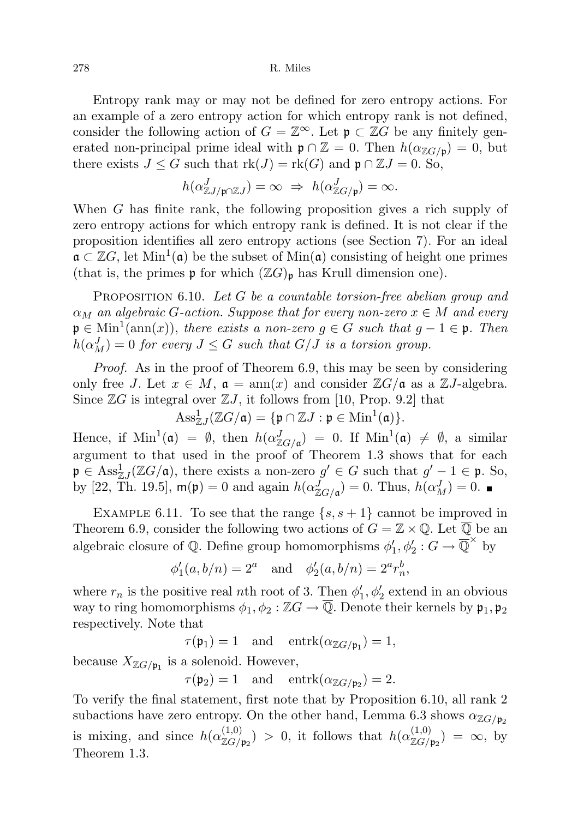Entropy rank may or may not be defined for zero entropy actions. For an example of a zero entropy action for which entropy rank is not defined, consider the following action of  $G = \mathbb{Z}^{\infty}$ . Let  $\mathfrak{p} \subset \mathbb{Z}$  be any finitely generated non-principal prime ideal with  $\mathfrak{p} \cap \mathbb{Z} = 0$ . Then  $h(\alpha_{\mathbb{Z}G/\mathfrak{p}}) = 0$ , but there exists  $J \leq G$  such that  $rk(J) = rk(G)$  and  $\mathfrak{p} \cap \mathbb{Z} J = 0$ . So,

$$
h(\alpha_{\mathbb{Z}J/\mathfrak{p}\cap \mathbb{Z}J}^J)=\infty\ \Rightarrow\ h(\alpha_{\mathbb{Z}G/\mathfrak{p}}^J)=\infty.
$$

When G has finite rank, the following proposition gives a rich supply of zero entropy actions for which entropy rank is defined. It is not clear if the proposition identifies all zero entropy actions (see Section 7). For an ideal  $\mathfrak{a} \subset \mathbb{Z}G$ , let  $\text{Min}^1(\mathfrak{a})$  be the subset of  $\text{Min}(\mathfrak{a})$  consisting of height one primes (that is, the primes  $\mathfrak p$  for which  $(\mathbb ZG)_{\mathfrak p}$  has Krull dimension one).

PROPOSITION 6.10. Let G be a countable torsion-free abelian group and  $\alpha_M$  an algebraic G-action. Suppose that for every non-zero  $x \in M$  and every  $\mathfrak{p} \in \text{Min}^1(\text{ann}(x)),$  there exists a non-zero  $g \in G$  such that  $g - 1 \in \mathfrak{p}$ . Then  $h(\alpha_M^J)=0$  for every  $J\leq G$  such that  $G/J$  is a torsion group.

Proof. As in the proof of Theorem 6.9, this may be seen by considering only free J. Let  $x \in M$ ,  $\mathfrak{a} = \text{ann}(x)$  and consider  $\mathbb{Z}G/\mathfrak{a}$  as a  $\mathbb{Z}J$ -algebra. Since  $\mathbb{Z}G$  is integral over  $\mathbb{Z}J$ , it follows from [10, Prop. 9.2] that

$$
\mathrm{Ass}^1_{\mathbb{Z} J}(\mathbb{Z} G/\mathfrak{a}) = \{ \mathfrak{p} \cap \mathbb{Z} J : \mathfrak{p} \in \mathrm{Min}^1(\mathfrak{a}) \}.
$$

Hence, if  $\text{Min}^1(\mathfrak{a}) = \emptyset$ , then  $h(\alpha_{\mathbb{Z}G/\mathfrak{a}}^J) = 0$ . If  $\text{Min}^1(\mathfrak{a}) \neq \emptyset$ , a similar argument to that used in the proof of Theorem 1.3 shows that for each  $\mathfrak{p} \in \text{Ass}_{\mathbb{Z}J}^1(\mathbb{Z}G/\mathfrak{a})$ , there exists a non-zero  $g' \in G$  such that  $g' - 1 \in \mathfrak{p}$ . So, by [22, Th. 19.5],  $m(\mathfrak{p}) = 0$  and again  $h(\alpha_{\mathbb{Z}G/\mathfrak{a}}^J) = 0$ . Thus,  $h(\alpha_M^J) = 0$ .

EXAMPLE 6.11. To see that the range  $\{s, s+1\}$  cannot be improved in Theorem 6.9, consider the following two actions of  $G = \mathbb{Z} \times \mathbb{Q}$ . Let  $\overline{\mathbb{Q}}$  be an algebraic closure of  $\mathbb Q$ . Define group homomorphisms  $\phi'_1, \phi'_2 : G \to \overline{\mathbb Q}^\times$  by

$$
\phi'_1(a, b/n) = 2^a
$$
 and  $\phi'_2(a, b/n) = 2^a r_n^b$ ,

where  $r_n$  is the positive real nth root of 3. Then  $\phi'_1$ ,  $\phi'_2$  extend in an obvious way to ring homomorphisms  $\phi_1, \phi_2 : \mathbb{Z}G \to \overline{\mathbb{Q}}$ . Denote their kernels by  $\mathfrak{p}_1, \mathfrak{p}_2$ respectively. Note that

 $\tau(\mathfrak{p}_1) = 1$  and  $\text{entrk}(\alpha_{\mathbb{Z}G/\mathfrak{p}_1}) = 1$ ,

because  $X_{\mathbb{Z}G/\mathfrak{p}_1}$  is a solenoid. However,

 $\tau(\mathfrak{p}_2) = 1$  and  $\text{entrk}(\alpha_{\mathbb{Z}G/\mathfrak{p}_2}) = 2.$ 

To verify the final statement, first note that by Proposition 6.10, all rank 2 subactions have zero entropy. On the other hand, Lemma 6.3 shows  $\alpha_{\mathbb{Z}_G/p_2}$ is mixing, and since  $h(\alpha_{\mathbb{Z}G/\mathfrak{p}_2}^{(1,0)}) > 0$ , it follows that  $h(\alpha_{\mathbb{Z}G/\mathfrak{p}_2}^{(1,0)}) = \infty$ , by Theorem 1.3.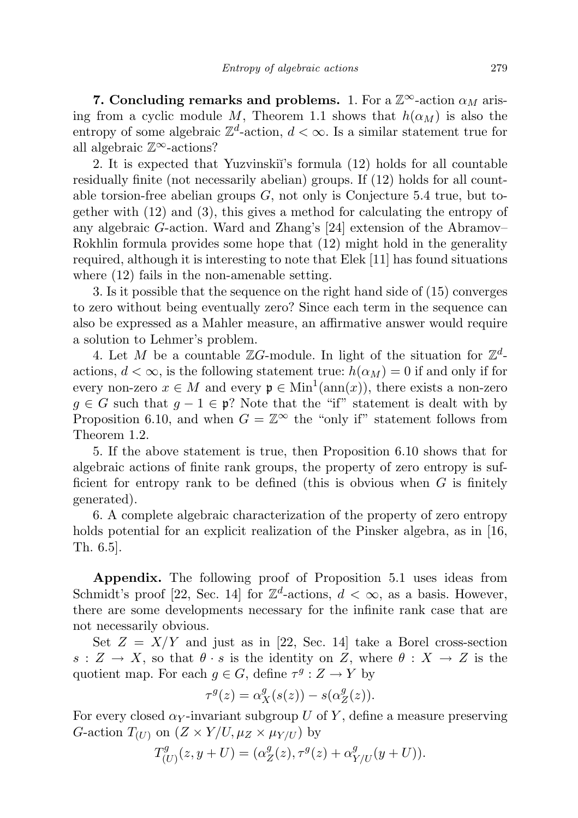7. Concluding remarks and problems. 1. For a  $\mathbb{Z}^{\infty}$ -action  $\alpha_M$  arising from a cyclic module M, Theorem 1.1 shows that  $h(\alpha_M)$  is also the entropy of some algebraic  $\mathbb{Z}^d$ -action,  $d < \infty$ . Is a similar statement true for all algebraic  $\mathbb{Z}^{\infty}$ -actions?

2. It is expected that Yuzvinski<sup>'</sup>s formula (12) holds for all countable residually finite (not necessarily abelian) groups. If (12) holds for all countable torsion-free abelian groups  $G$ , not only is Conjecture 5.4 true, but together with (12) and (3), this gives a method for calculating the entropy of any algebraic G-action. Ward and Zhang's [24] extension of the Abramov– Rokhlin formula provides some hope that (12) might hold in the generality required, although it is interesting to note that Elek [11] has found situations where (12) fails in the non-amenable setting.

3. Is it possible that the sequence on the right hand side of (15) converges to zero without being eventually zero? Since each term in the sequence can also be expressed as a Mahler measure, an affirmative answer would require a solution to Lehmer's problem.

4. Let M be a countable  $\mathbb{Z}G$ -module. In light of the situation for  $\mathbb{Z}^d$ actions,  $d < \infty$ , is the following statement true:  $h(\alpha_M) = 0$  if and only if for every non-zero  $x \in M$  and every  $\mathfrak{p} \in \text{Min}^1(\text{ann}(x))$ , there exists a non-zero  $q \in G$  such that  $q - 1 \in \mathfrak{p}$ ? Note that the "if" statement is dealt with by Proposition 6.10, and when  $G = \mathbb{Z}^{\infty}$  the "only if" statement follows from Theorem 1.2.

5. If the above statement is true, then Proposition 6.10 shows that for algebraic actions of finite rank groups, the property of zero entropy is sufficient for entropy rank to be defined (this is obvious when  $G$  is finitely generated).

6. A complete algebraic characterization of the property of zero entropy holds potential for an explicit realization of the Pinsker algebra, as in [16, Th. 6.5].

Appendix. The following proof of Proposition 5.1 uses ideas from Schmidt's proof [22, Sec. 14] for  $\mathbb{Z}^d$ -actions,  $d < \infty$ , as a basis. However, there are some developments necessary for the infinite rank case that are not necessarily obvious.

Set  $Z = X/Y$  and just as in [22, Sec. 14] take a Borel cross-section  $s: Z \to X$ , so that  $\theta \cdot s$  is the identity on Z, where  $\theta : X \to Z$  is the quotient map. For each  $g \in G$ , define  $\tau^g : Z \to Y$  by

$$
\tau^g(z) = \alpha_X^g(s(z)) - s(\alpha_Z^g(z)).
$$

For every closed  $\alpha_Y$ -invariant subgroup U of Y, define a measure preserving G-action  $T_{(U)}$  on  $(Z \times Y/U, \mu_Z \times \mu_{Y/U})$  by

$$
T_{(U)}^{g}(z, y + U) = (\alpha_Z^{g}(z), \tau^g(z) + \alpha_{Y/U}^{g}(y + U)).
$$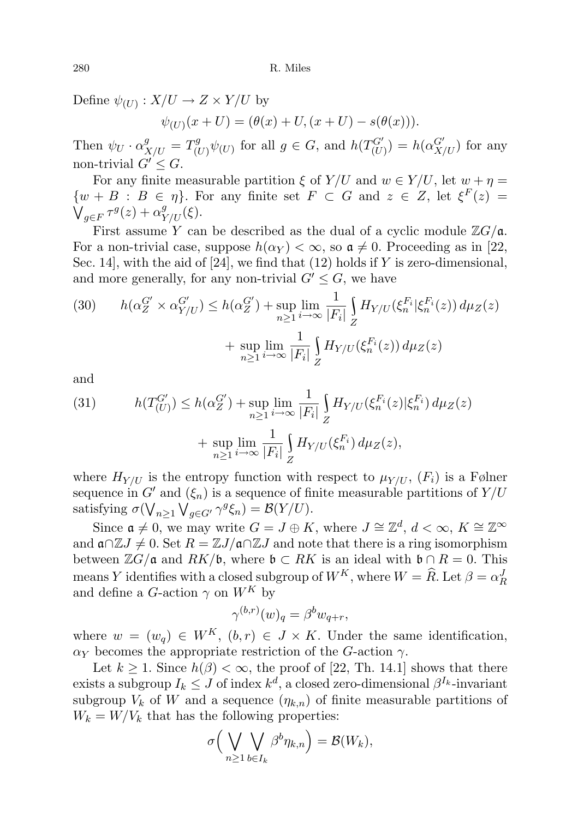Define  $\psi_{(U)}: X/U \to Z \times Y/U$  by

$$
\psi_{(U)}(x+U) = (\theta(x) + U, (x+U) - s(\theta(x))).
$$

Then  $\psi_U \cdot \alpha_{X/U}^g = T_{(U)}^g$  $\int_{(U)}^{g} \psi_{(U)}$  for all  $g \in G$ , and  $h(T_{(U)}^{G'}) = h(\alpha_{X/U}^{G'})$  for any non-trivial  $G' \leq G$ .

For any finite measurable partition  $\xi$  of  $Y/U$  and  $w \in Y/U$ , let  $w + \eta =$  $\{w + B : B \in \eta\}$ . For any finite set  $F \subset G$  and  $z \in Z$ , let  $\xi^F(z) =$  $\mathcal{V}_{g\in F} \tau^g(z) + \alpha^g_{Y/U}(\xi).$ 

First assume Y can be described as the dual of a cyclic module  $\mathbb{Z}G/\mathfrak{a}$ . For a non-trivial case, suppose  $h(\alpha_Y) < \infty$ , so  $a \neq 0$ . Proceeding as in [22, Sec. 14, with the aid of  $[24]$ , we find that  $(12)$  holds if Y is zero-dimensional, and more generally, for any non-trivial  $G' \leq G$ , we have

(30) 
$$
h(\alpha_Z^{G'} \times \alpha_{Y/U}^{G'}) \le h(\alpha_Z^{G'}) + \sup_{n \ge 1} \lim_{i \to \infty} \frac{1}{|F_i|} \int_Z H_{Y/U}(\xi_n^{F_i}|\xi_n^{F_i}(z)) d\mu_Z(z) + \sup_{n \ge 1} \lim_{i \to \infty} \frac{1}{|F_i|} \int_Z H_{Y/U}(\xi_n^{F_i}(z)) d\mu_Z(z)
$$

and

(31) 
$$
h(T_{(U)}^{G'}) \le h(\alpha_Z^{G'}) + \sup_{n \ge 1} \lim_{i \to \infty} \frac{1}{|F_i|} \int_Z H_{Y/U}(\xi_n^{F_i}(z) | \xi_n^{F_i}) d\mu_Z(z) + \sup_{n \ge 1} \lim_{i \to \infty} \frac{1}{|F_i|} \int_Z H_{Y/U}(\xi_n^{F_i}) d\mu_Z(z),
$$

where  $H_{Y/U}$  is the entropy function with respect to  $\mu_{Y/U}$ ,  $(F_i)$  is a Følner sequence in G' and  $(\xi_n)$  is a sequence of finite measurable partitions of  $Y/U$ satisfying  $\sigma(\bigvee_{n\geq 1}\bigvee_{g\in G'}\gamma^g\xi_n)=\mathcal{B}(Y/U).$ 

Since  $\mathfrak{a} \neq 0$ , we may write  $G = J \oplus K$ , where  $J \cong \mathbb{Z}^d$ ,  $d < \infty$ ,  $K \cong \mathbb{Z}^\infty$ and  $\mathfrak{a} \cap \mathbb{Z} J \neq 0$ . Set  $R = \mathbb{Z} J/\mathfrak{a} \cap \mathbb{Z} J$  and note that there is a ring isomorphism between  $\mathbb{Z}G/\mathfrak{a}$  and  $RK/\mathfrak{b}$ , where  $\mathfrak{b} \subset RK$  is an ideal with  $\mathfrak{b} \cap R = 0$ . This means Y identifies with a closed subgroup of  $W^K$ , where  $W = \widehat{R}$ . Let  $\beta = \alpha_R^J$ and define a G-action  $\gamma$  on  $W^K$  by

$$
\gamma^{(b,r)}(w)_q = \beta^b w_{q+r},
$$

where  $w = (w_q) \in W^K$ ,  $(b, r) \in J \times K$ . Under the same identification,  $\alpha_Y$  becomes the appropriate restriction of the G-action  $\gamma$ .

Let  $k \geq 1$ . Since  $h(\beta) < \infty$ , the proof of [22, Th. 14.1] shows that there exists a subgroup  $I_k \leq J$  of index  $k^d$ , a closed zero-dimensional  $\beta^{I_k}$ -invariant subgroup  $V_k$  of W and a sequence  $(\eta_{k,n})$  of finite measurable partitions of  $W_k = W/V_k$  that has the following properties:

$$
\sigma\Big(\bigvee_{n\geq 1}\bigvee_{b\in I_k}\beta^b\eta_{k,n}\Big)=\mathcal{B}(W_k),
$$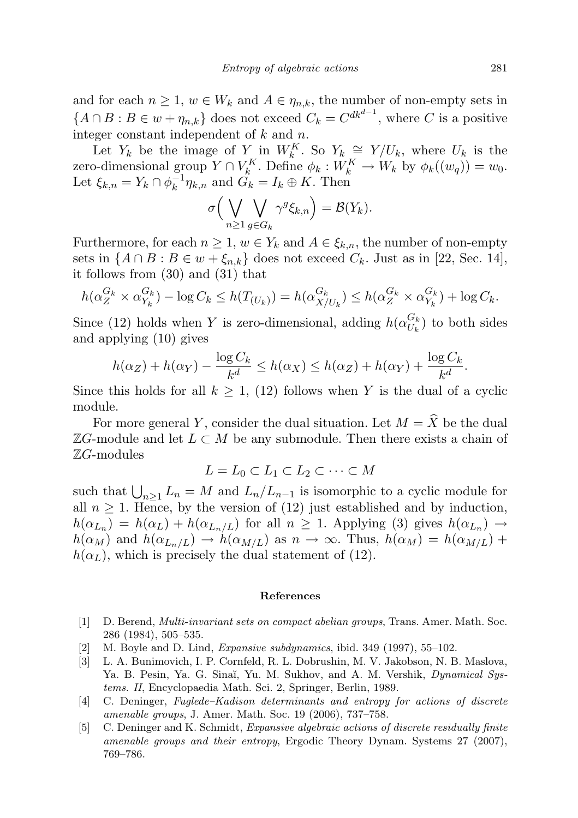and for each  $n \geq 1$ ,  $w \in W_k$  and  $A \in \eta_{n,k}$ , the number of non-empty sets in  ${A \cap B : B \in w + \eta_{n,k}}$  does not exceed  $C_k = C^{dk^{d-1}}$ , where C is a positive integer constant independent of  $k$  and  $n$ .

Let  $Y_k$  be the image of  $Y_{\mu}$  in  $W_k^K$ . So  $Y_k \cong Y/U_k$ , where  $U_k$  is the zero-dimensional group  $Y \cap V_k^K$ . Define  $\phi_k : W_k^K \to W_k$  by  $\phi_k((w_q)) = w_0$ . Let  $\xi_{k,n} = Y_k \cap \phi_k^{-1}$  $\overline{K}_k^{-1} \eta_{k,n}$  and  $G_k = I_k \oplus K$ . Then

$$
\sigma\Big(\bigvee_{n\geq 1}\bigvee_{g\in G_k}\gamma^g\xi_{k,n}\Big)=\mathcal{B}(Y_k).
$$

Furthermore, for each  $n \geq 1$ ,  $w \in Y_k$  and  $A \in \xi_{k,n}$ , the number of non-empty sets in  $\{A \cap B : B \in w + \xi_{n,k}\}\)$  does not exceed  $C_k$ . Just as in [22, Sec. 14], it follows from (30) and (31) that

$$
h(\alpha_Z^{G_k} \times \alpha_{Y_k}^{G_k}) - \log C_k \le h(T_{(U_k)}) = h(\alpha_{X/U_k}^{G_k}) \le h(\alpha_Z^{G_k} \times \alpha_{Y_k}^{G_k}) + \log C_k.
$$

Since (12) holds when Y is zero-dimensional, adding  $h(\alpha_{U_l}^{G_k})$  $U_k^{G_k}$  to both sides and applying (10) gives

$$
h(\alpha_Z) + h(\alpha_Y) - \frac{\log C_k}{k^d} \le h(\alpha_X) \le h(\alpha_Z) + h(\alpha_Y) + \frac{\log C_k}{k^d}.
$$

Since this holds for all  $k \geq 1$ , (12) follows when Y is the dual of a cyclic module.

For more general Y, consider the dual situation. Let  $M = \hat{X}$  be the dual  $\mathbb{Z}G$ -module and let  $L \subset M$  be any submodule. Then there exists a chain of  $\mathbb{Z}G$ -modules

$$
L = L_0 \subset L_1 \subset L_2 \subset \cdots \subset M
$$

such that  $\bigcup_{n\geq 1} L_n = M$  and  $L_n/L_{n-1}$  is isomorphic to a cyclic module for all  $n \geq 1$ . Hence, by the version of (12) just established and by induction,  $h(\alpha_{L_n}) = h(\alpha_L) + h(\alpha_{L_n/L})$  for all  $n \geq 1$ . Applying (3) gives  $h(\alpha_{L_n}) \to$  $h(\alpha_M)$  and  $h(\alpha_{L_n/L}) \to h(\alpha_{M/L})$  as  $n \to \infty$ . Thus,  $h(\alpha_M) = h(\alpha_{M/L}) +$  $h(\alpha_L)$ , which is precisely the dual statement of (12).

#### References

- [1] D. Berend, Multi-invariant sets on compact abelian groups, Trans. Amer. Math. Soc. 286 (1984), 505–535.
- [2] M. Boyle and D. Lind, Expansive subdynamics, ibid. 349 (1997), 55–102.
- [3] L. A. Bunimovich, I. P. Cornfeld, R. L. Dobrushin, M. V. Jakobson, N. B. Maslova, Ya. B. Pesin, Ya. G. Sinaĭ, Yu. M. Sukhov, and A. M. Vershik, Dynamical Systems. II, Encyclopaedia Math. Sci. 2, Springer, Berlin, 1989.
- [4] C. Deninger, Fuglede–Kadison determinants and entropy for actions of discrete amenable groups, J. Amer. Math. Soc. 19 (2006), 737–758.
- [5] C. Deninger and K. Schmidt, Expansive algebraic actions of discrete residually finite amenable groups and their entropy, Ergodic Theory Dynam. Systems 27 (2007), 769–786.